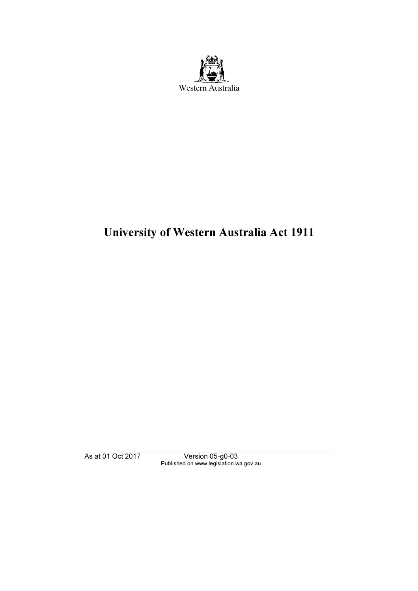

# University of Western Australia Act 1911

As at 01 Oct 2017 Version 05-g0-03 Published on www.legislation.wa.gov.au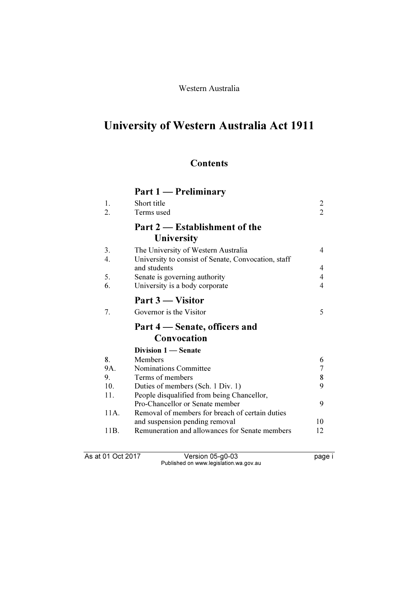Western Australia

# University of Western Australia Act 1911

# **Contents**

# Part 1 — Preliminary

| 1.       | Short title                                                                                | $\overline{c}$ |
|----------|--------------------------------------------------------------------------------------------|----------------|
| 2.       | Terms used                                                                                 | 2              |
|          | Part 2 – Establishment of the<br>University                                                |                |
| 3.<br>4. | The University of Western Australia<br>University to consist of Senate, Convocation, staff | 4              |
|          | and students                                                                               | 4              |
| 5.       | Senate is governing authority                                                              | 4              |
| 6.       | University is a body corporate                                                             | 4              |
|          | Part 3 — Visitor                                                                           |                |
| 7.       | Governor is the Visitor                                                                    | 5              |
|          |                                                                                            |                |
|          | Part 4 – Senate, officers and                                                              |                |
|          | Convocation                                                                                |                |
|          | Division 1 — Senate                                                                        |                |
| 8.       | <b>Members</b>                                                                             | 6              |
| 9A.      | <b>Nominations Committee</b>                                                               | $\overline{7}$ |
| 9.       | Terms of members                                                                           | 8              |
| 10.      | Duties of members (Sch. 1 Div. 1)                                                          | 9              |
| 11.      | People disqualified from being Chancellor,                                                 |                |
|          | Pro-Chancellor or Senate member                                                            | 9              |
| 11A.     | Removal of members for breach of certain duties                                            |                |
| 11B.     | and suspension pending removal<br>Remuneration and allowances for Senate members           | 10<br>12       |

As at 01 Oct 2017 Version 05-g0-03 page i Published on www.legislation.wa.gov.au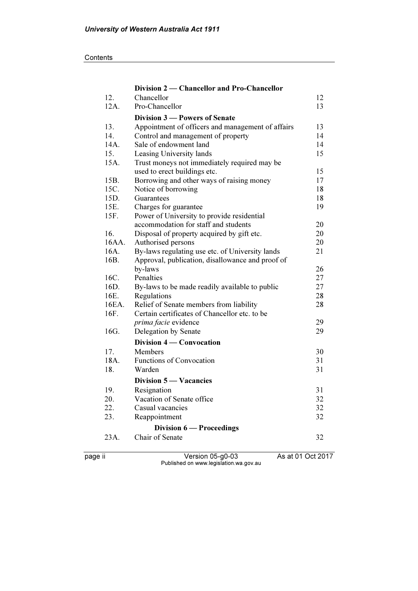#### **Contents**

|       | Division 2 — Chancellor and Pro-Chancellor        |    |
|-------|---------------------------------------------------|----|
| 12.   | Chancellor                                        | 12 |
| 12A.  | Pro-Chancellor                                    | 13 |
|       | Division 3 - Powers of Senate                     |    |
| 13.   | Appointment of officers and management of affairs | 13 |
| 14.   | Control and management of property                | 14 |
| 14A.  | Sale of endowment land                            | 14 |
| 15.   | Leasing University lands                          | 15 |
| 15A.  | Trust moneys not immediately required may be      |    |
|       | used to erect buildings etc.                      | 15 |
| 15B.  | Borrowing and other ways of raising money         | 17 |
| 15C.  | Notice of borrowing                               | 18 |
| 15D.  | Guarantees                                        | 18 |
| 15E.  | Charges for guarantee                             | 19 |
| 15F.  | Power of University to provide residential        |    |
|       | accommodation for staff and students              | 20 |
| 16.   | Disposal of property acquired by gift etc.        | 20 |
| 16AA. | Authorised persons                                | 20 |
| 16A.  | By-laws regulating use etc. of University lands   | 21 |
| 16B.  | Approval, publication, disallowance and proof of  |    |
|       | by-laws                                           | 26 |
| 16C.  | Penalties                                         | 27 |
| 16D.  | By-laws to be made readily available to public    | 27 |
| 16E.  | Regulations                                       | 28 |
| 16EA. | Relief of Senate members from liability           | 28 |
| 16F.  | Certain certificates of Chancellor etc. to be     |    |
|       | prima facie evidence                              | 29 |
| 16G.  | Delegation by Senate                              | 29 |
|       | Division 4 – Convocation                          |    |
| 17.   | Members                                           | 30 |
| 18A.  | <b>Functions of Convocation</b>                   | 31 |
| 18.   | Warden                                            | 31 |
|       | Division 5 — Vacancies                            |    |
| 19.   | Resignation                                       | 31 |
| 20.   | Vacation of Senate office                         | 32 |
| 22.   | Casual vacancies                                  | 32 |
| 23.   | Reappointment                                     | 32 |
|       | Division 6 — Proceedings                          |    |
| 23A.  | Chair of Senate                                   | 32 |
|       |                                                   |    |

page ii Version 05-g0-03 As at 01 Oct 2017 Published on www.legislation.wa.gov.au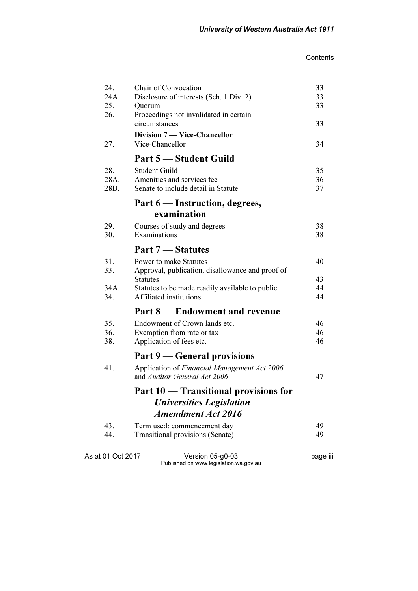| Chair of Convocation<br>24.            |                                                  | 33       |
|----------------------------------------|--------------------------------------------------|----------|
| 24A.                                   | Disclosure of interests (Sch. 1 Div. 2)          | 33       |
| 25.<br>Quorum<br>26.                   | Proceedings not invalidated in certain           | 33       |
| circumstances                          |                                                  | 33       |
|                                        | <b>Division 7 — Vice-Chancellor</b>              |          |
| 27.<br>Vice-Chancellor                 |                                                  | 34       |
|                                        | Part 5 - Student Guild                           |          |
| <b>Student Guild</b><br>28.            |                                                  | 35       |
| Amenities and services fee<br>28A.     |                                                  | 36       |
| 28B.                                   | Senate to include detail in Statute              | 37       |
|                                        | Part 6 — Instruction, degrees,                   |          |
| examination                            |                                                  |          |
| 29.<br>Courses of study and degrees    |                                                  | 38       |
| Examinations<br>30.                    |                                                  | 38       |
| Part 7 – Statutes                      |                                                  |          |
| 31.<br>Power to make Statutes          |                                                  | 40       |
| 33.                                    | Approval, publication, disallowance and proof of |          |
| <b>Statutes</b>                        |                                                  | 43       |
| 34A.<br>Affiliated institutions<br>34. | Statutes to be made readily available to public  | 44<br>44 |
|                                        | Part 8 – Endowment and revenue                   |          |
| 35.                                    | Endowment of Crown lands etc.                    | 46       |
| 36.<br>Exemption from rate or tax      |                                                  | 46       |
| 38.<br>Application of fees etc.        |                                                  | 46       |
|                                        | Part 9 – General provisions                      |          |
| 41.                                    | Application of Financial Management Act 2006     |          |
| and Auditor General Act 2006           |                                                  | 47       |
|                                        | Part 10 - Transitional provisions for            |          |
|                                        | <b>Universities Legislation</b>                  |          |
|                                        | <b>Amendment Act 2016</b>                        |          |
| 43.                                    | Term used: commencement day                      | 49       |
| 44.                                    | Transitional provisions (Senate)                 | 49       |
| As at 01 Oct 2017                      | Version 05-g0-03                                 | page iii |

Published on www.legislation.wa.gov.au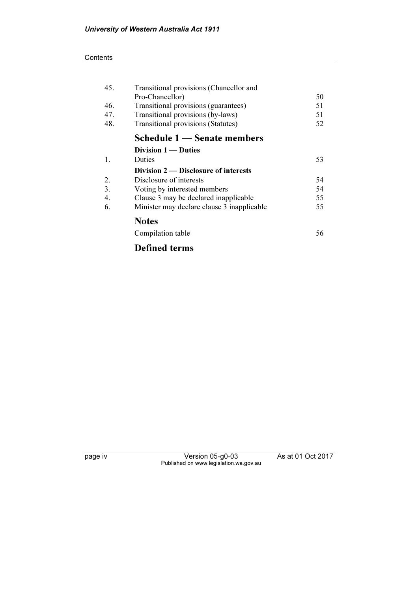#### **Contents**

| 45.              | Transitional provisions (Chancellor and    |    |
|------------------|--------------------------------------------|----|
|                  | Pro-Chancellor)                            | 50 |
| 46.              | Transitional provisions (guarantees)       | 51 |
| 47.              | Transitional provisions (by-laws)          | 51 |
| 48.              | <b>Transitional provisions (Statutes)</b>  | 52 |
|                  | Schedule 1 – Senate members                |    |
|                  | Division $1 -$ Duties                      |    |
| 1.               | <b>Duties</b>                              | 53 |
|                  | Division 2 — Disclosure of interests       |    |
| 2.               | Disclosure of interests                    | 54 |
| 3.               | Voting by interested members               | 54 |
| $\overline{4}$ . | Clause 3 may be declared inapplicable      | 55 |
| 6.               | Minister may declare clause 3 inapplicable | 55 |
|                  | <b>Notes</b>                               |    |
|                  | Compilation table                          | 56 |

# Defined terms

page iv Version 05-g0-03 As at 01 Oct 2017 Published on www.legislation.wa.gov.au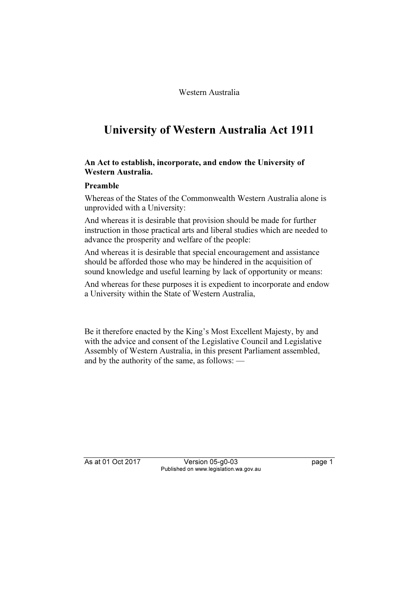Western Australia

# University of Western Australia Act 1911

### An Act to establish, incorporate, and endow the University of Western Australia.

### Preamble

Whereas of the States of the Commonwealth Western Australia alone is unprovided with a University:

And whereas it is desirable that provision should be made for further instruction in those practical arts and liberal studies which are needed to advance the prosperity and welfare of the people:

And whereas it is desirable that special encouragement and assistance should be afforded those who may be hindered in the acquisition of sound knowledge and useful learning by lack of opportunity or means:

And whereas for these purposes it is expedient to incorporate and endow a University within the State of Western Australia,

Be it therefore enacted by the King's Most Excellent Majesty, by and with the advice and consent of the Legislative Council and Legislative Assembly of Western Australia, in this present Parliament assembled, and by the authority of the same, as follows: —

As at 01 Oct 2017 Version 05-g0-03 page 1 Published on www.legislation.wa.gov.au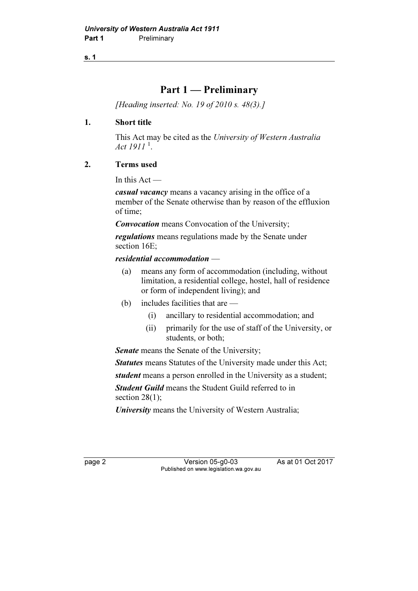# Part 1 — Preliminary

[Heading inserted: No. 19 of 2010 s. 48(3).]

### 1. Short title

 This Act may be cited as the University of Western Australia Act  $1911^{\,1}$ .

### 2. Terms used

In this  $Act$  —

casual vacancy means a vacancy arising in the office of a member of the Senate otherwise than by reason of the effluxion of time;

**Convocation** means Convocation of the University;

regulations means regulations made by the Senate under section 16E;

### residential accommodation —

- (a) means any form of accommodation (including, without limitation, a residential college, hostel, hall of residence or form of independent living); and
- (b) includes facilities that are
	- (i) ancillary to residential accommodation; and
	- (ii) primarily for the use of staff of the University, or students, or both;

Senate means the Senate of the University;

Statutes means Statutes of the University made under this Act;

student means a person enrolled in the University as a student;

**Student Guild** means the Student Guild referred to in section 28(1):

University means the University of Western Australia;

page 2 Version 05-g0-03 As at 01 Oct 2017 Published on www.legislation.wa.gov.au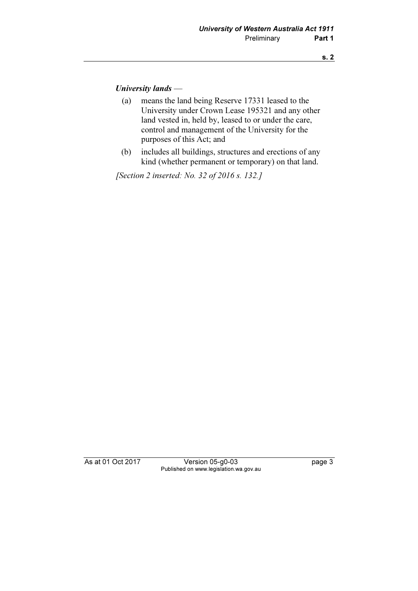### University lands —

- (a) means the land being Reserve 17331 leased to the University under Crown Lease 195321 and any other land vested in, held by, leased to or under the care, control and management of the University for the purposes of this Act; and
- (b) includes all buildings, structures and erections of any kind (whether permanent or temporary) on that land.

[Section 2 inserted: No. 32 of 2016 s. 132.]

As at 01 Oct 2017 Version 05-g0-03 page 3 Published on www.legislation.wa.gov.au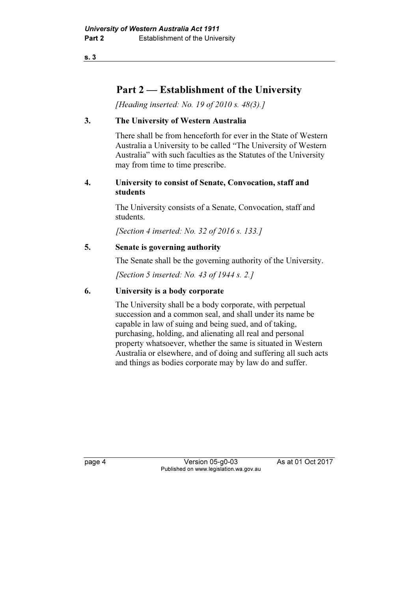# Part 2 — Establishment of the University

[Heading inserted: No. 19 of 2010 s. 48(3).]

### 3. The University of Western Australia

 There shall be from henceforth for ever in the State of Western Australia a University to be called "The University of Western Australia" with such faculties as the Statutes of the University may from time to time prescribe.

### 4. University to consist of Senate, Convocation, staff and students

 The University consists of a Senate, Convocation, staff and students.

[Section 4 inserted: No. 32 of 2016 s. 133.]

### 5. Senate is governing authority

The Senate shall be the governing authority of the University.

[Section 5 inserted: No. 43 of 1944 s. 2.]

### 6. University is a body corporate

 The University shall be a body corporate, with perpetual succession and a common seal, and shall under its name be capable in law of suing and being sued, and of taking, purchasing, holding, and alienating all real and personal property whatsoever, whether the same is situated in Western Australia or elsewhere, and of doing and suffering all such acts and things as bodies corporate may by law do and suffer.

page 4 Version 05-g0-03 As at 01 Oct 2017 Published on www.legislation.wa.gov.au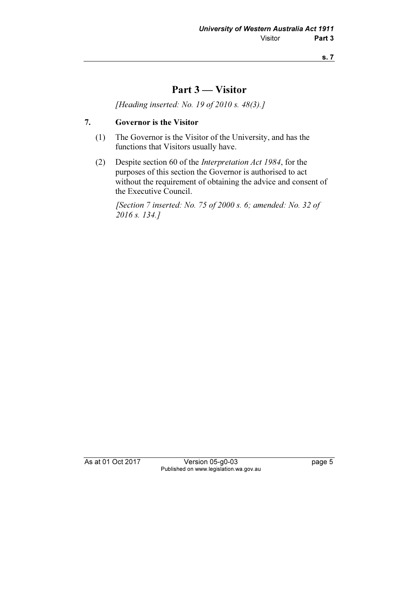# Part 3 — Visitor

[Heading inserted: No. 19 of 2010 s. 48(3).]

### 7. Governor is the Visitor

- (1) The Governor is the Visitor of the University, and has the functions that Visitors usually have.
- (2) Despite section 60 of the Interpretation Act 1984, for the purposes of this section the Governor is authorised to act without the requirement of obtaining the advice and consent of the Executive Council.

[Section 7 inserted: No. 75 of 2000 s. 6; amended: No. 32 of 2016 s. 134.]

As at 01 Oct 2017 Version 05-g0-03 page 5 Published on www.legislation.wa.gov.au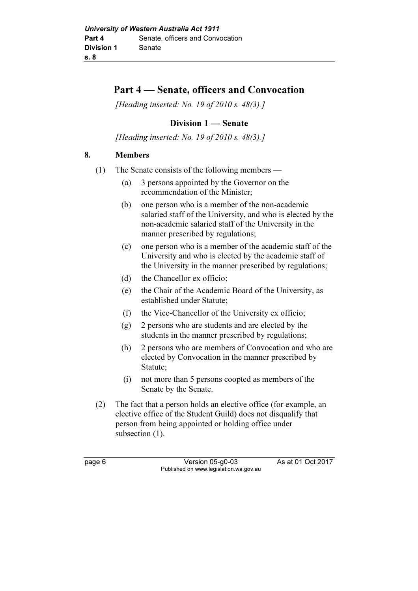# Part 4 — Senate, officers and Convocation

[Heading inserted: No. 19 of 2010 s. 48(3).]

### Division 1 — Senate

[Heading inserted: No. 19 of 2010 s. 48(3).]

### 8. Members

- (1) The Senate consists of the following members
	- (a) 3 persons appointed by the Governor on the recommendation of the Minister;
	- (b) one person who is a member of the non-academic salaried staff of the University, and who is elected by the non-academic salaried staff of the University in the manner prescribed by regulations;
	- (c) one person who is a member of the academic staff of the University and who is elected by the academic staff of the University in the manner prescribed by regulations;
	- (d) the Chancellor ex officio;
	- (e) the Chair of the Academic Board of the University, as established under Statute;
	- (f) the Vice-Chancellor of the University ex officio;
	- (g) 2 persons who are students and are elected by the students in the manner prescribed by regulations;
	- (h) 2 persons who are members of Convocation and who are elected by Convocation in the manner prescribed by Statute;
	- (i) not more than 5 persons coopted as members of the Senate by the Senate.
- (2) The fact that a person holds an elective office (for example, an elective office of the Student Guild) does not disqualify that person from being appointed or holding office under subsection  $(1)$ .

page 6 Version 05-g0-03 As at 01 Oct 2017 Published on www.legislation.wa.gov.au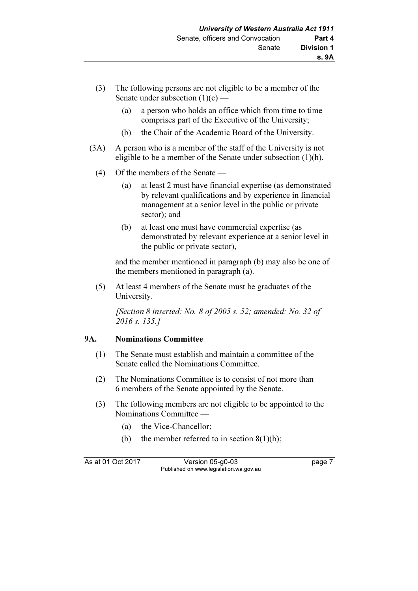- (3) The following persons are not eligible to be a member of the Senate under subsection  $(1)(c)$  —
	- (a) a person who holds an office which from time to time comprises part of the Executive of the University;
	- (b) the Chair of the Academic Board of the University.
- (3A) A person who is a member of the staff of the University is not eligible to be a member of the Senate under subsection (1)(h).
	- (4) Of the members of the Senate
		- (a) at least 2 must have financial expertise (as demonstrated by relevant qualifications and by experience in financial management at a senior level in the public or private sector); and
		- (b) at least one must have commercial expertise (as demonstrated by relevant experience at a senior level in the public or private sector),

 and the member mentioned in paragraph (b) may also be one of the members mentioned in paragraph (a).

 (5) At least 4 members of the Senate must be graduates of the University.

[Section 8 inserted: No. 8 of 2005 s. 52; amended: No. 32 of 2016 s. 135.]

### 9A. Nominations Committee

- (1) The Senate must establish and maintain a committee of the Senate called the Nominations Committee.
- (2) The Nominations Committee is to consist of not more than 6 members of the Senate appointed by the Senate.
- (3) The following members are not eligible to be appointed to the Nominations Committee —
	- (a) the Vice-Chancellor;
	- (b) the member referred to in section  $8(1)(b)$ ;

As at 01 Oct 2017 Version 05-g0-03 page 7 Published on www.legislation.wa.gov.au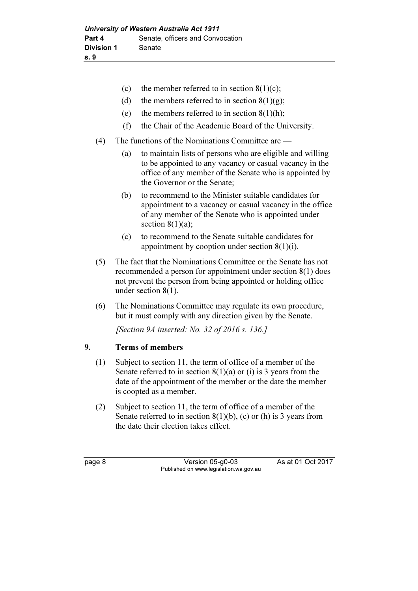|     | (c) | the member referred to in section $8(1)(c)$ ;                                                                                                                                                                 |
|-----|-----|---------------------------------------------------------------------------------------------------------------------------------------------------------------------------------------------------------------|
|     | (d) | the members referred to in section $8(1)(g)$ ;                                                                                                                                                                |
|     | (e) | the members referred to in section $8(1)(h)$ ;                                                                                                                                                                |
|     | (f) | the Chair of the Academic Board of the University.                                                                                                                                                            |
| (4) |     | The functions of the Nominations Committee are —                                                                                                                                                              |
|     | (a) | to maintain lists of persons who are eligible and willing<br>to be appointed to any vacancy or casual vacancy in the<br>office of any member of the Senate who is appointed by<br>the Governor or the Senate; |
|     | (b) | to recommend to the Minister suitable candidates for<br>appointment to a vacancy or casual vacancy in the office<br>of any member of the Senate who is appointed under<br>section $8(1)(a)$ ;                 |
|     | (c) | to recommend to the Senate suitable candidates for<br>appointment by cooption under section $8(1)(i)$ .                                                                                                       |
| (5) |     | The fact that the Nominations Committee or the Senate has not<br>recommended a person for appointment under section $8(1)$ does<br>not prevent the person from being appointed or holding office              |

 (6) The Nominations Committee may regulate its own procedure, but it must comply with any direction given by the Senate.

[Section 9A inserted: No. 32 of 2016 s. 136.]

### 9. Terms of members

under section 8(1).

- (1) Subject to section 11, the term of office of a member of the Senate referred to in section  $8(1)(a)$  or (i) is 3 years from the date of the appointment of the member or the date the member is coopted as a member.
- (2) Subject to section 11, the term of office of a member of the Senate referred to in section  $8(1)(b)$ , (c) or (h) is 3 years from the date their election takes effect.

page 8 Version 05-g0-03 As at 01 Oct 2017 Published on www.legislation.wa.gov.au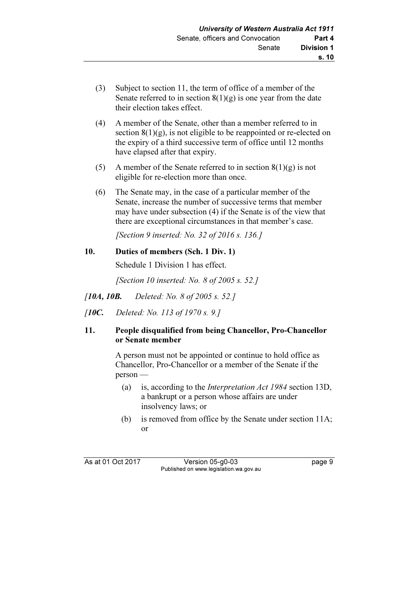- (3) Subject to section 11, the term of office of a member of the Senate referred to in section  $8(1)(g)$  is one year from the date their election takes effect.
- (4) A member of the Senate, other than a member referred to in section  $8(1)(g)$ , is not eligible to be reappointed or re-elected on the expiry of a third successive term of office until 12 months have elapsed after that expiry.
- (5) A member of the Senate referred to in section  $8(1)(g)$  is not eligible for re-election more than once.
- (6) The Senate may, in the case of a particular member of the Senate, increase the number of successive terms that member may have under subsection (4) if the Senate is of the view that there are exceptional circumstances in that member's case.

[Section 9 inserted: No. 32 of 2016 s. 136.]

### 10. Duties of members (Sch. 1 Div. 1)

Schedule 1 Division 1 has effect.

[Section 10 inserted: No. 8 of 2005 s. 52.]

- [10A, 10B. Deleted: No. 8 of 2005 s. 52.]
- [10C. Deleted: No. 113 of 1970 s. 9.1]

### 11. People disqualified from being Chancellor, Pro-Chancellor or Senate member

 A person must not be appointed or continue to hold office as Chancellor, Pro-Chancellor or a member of the Senate if the person —

- (a) is, according to the Interpretation Act 1984 section 13D, a bankrupt or a person whose affairs are under insolvency laws; or
- (b) is removed from office by the Senate under section 11A; or

As at 01 Oct 2017 Version 05-g0-03 page 9 Published on www.legislation.wa.gov.au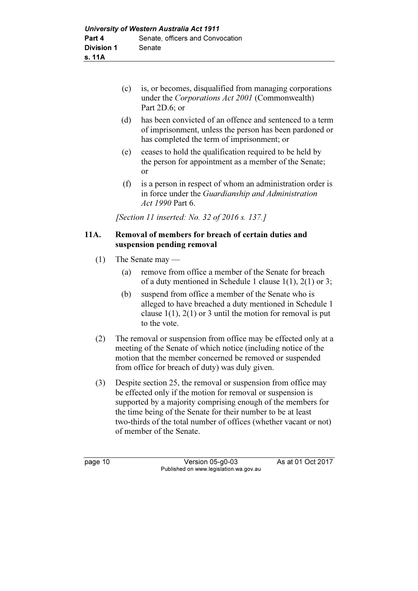- (c) is, or becomes, disqualified from managing corporations under the Corporations Act 2001 (Commonwealth) Part 2D.6; or
- (d) has been convicted of an offence and sentenced to a term of imprisonment, unless the person has been pardoned or has completed the term of imprisonment; or
- (e) ceases to hold the qualification required to be held by the person for appointment as a member of the Senate; or
- (f) is a person in respect of whom an administration order is in force under the Guardianship and Administration Act 1990 Part 6.

[Section 11 inserted: No. 32 of 2016 s. 137.]

### 11A. Removal of members for breach of certain duties and suspension pending removal

- (1) The Senate may
	- (a) remove from office a member of the Senate for breach of a duty mentioned in Schedule 1 clause 1(1), 2(1) or 3;
	- (b) suspend from office a member of the Senate who is alleged to have breached a duty mentioned in Schedule 1 clause  $1(1)$ ,  $2(1)$  or 3 until the motion for removal is put to the vote.
- (2) The removal or suspension from office may be effected only at a meeting of the Senate of which notice (including notice of the motion that the member concerned be removed or suspended from office for breach of duty) was duly given.
- (3) Despite section 25, the removal or suspension from office may be effected only if the motion for removal or suspension is supported by a majority comprising enough of the members for the time being of the Senate for their number to be at least two-thirds of the total number of offices (whether vacant or not) of member of the Senate.

page 10 Version 05-g0-03 As at 01 Oct 2017 Published on www.legislation.wa.gov.au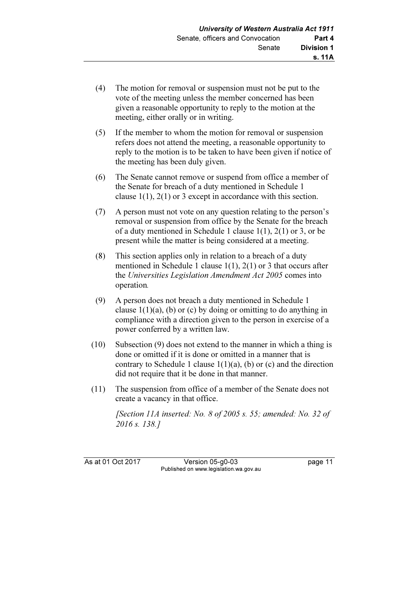- (4) The motion for removal or suspension must not be put to the vote of the meeting unless the member concerned has been given a reasonable opportunity to reply to the motion at the meeting, either orally or in writing.
- (5) If the member to whom the motion for removal or suspension refers does not attend the meeting, a reasonable opportunity to reply to the motion is to be taken to have been given if notice of the meeting has been duly given.
- (6) The Senate cannot remove or suspend from office a member of the Senate for breach of a duty mentioned in Schedule 1 clause 1(1), 2(1) or 3 except in accordance with this section.
- (7) A person must not vote on any question relating to the person's removal or suspension from office by the Senate for the breach of a duty mentioned in Schedule 1 clause 1(1), 2(1) or 3, or be present while the matter is being considered at a meeting.
- (8) This section applies only in relation to a breach of a duty mentioned in Schedule 1 clause 1(1), 2(1) or 3 that occurs after the Universities Legislation Amendment Act 2005 comes into operation.
- (9) A person does not breach a duty mentioned in Schedule 1 clause  $1(1)(a)$ , (b) or (c) by doing or omitting to do anything in compliance with a direction given to the person in exercise of a power conferred by a written law.
- (10) Subsection (9) does not extend to the manner in which a thing is done or omitted if it is done or omitted in a manner that is contrary to Schedule 1 clause  $1(1)(a)$ , (b) or (c) and the direction did not require that it be done in that manner.
- (11) The suspension from office of a member of the Senate does not create a vacancy in that office.

[Section 11A inserted: No. 8 of 2005 s. 55; amended: No. 32 of 2016 s. 138.]

As at 01 Oct 2017 Version 05-g0-03 page 11 Published on www.legislation.wa.gov.au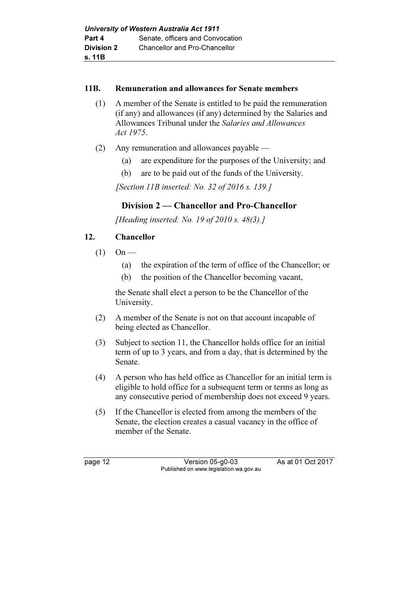### 11B. Remuneration and allowances for Senate members

- (1) A member of the Senate is entitled to be paid the remuneration (if any) and allowances (if any) determined by the Salaries and Allowances Tribunal under the Salaries and Allowances Act 1975.
- (2) Any remuneration and allowances payable
	- (a) are expenditure for the purposes of the University; and
	- (b) are to be paid out of the funds of the University.

[Section 11B inserted: No. 32 of 2016 s. 139.]

# Division 2 — Chancellor and Pro-Chancellor

[Heading inserted: No. 19 of 2010 s.  $48(3)$ .]

### 12. Chancellor

- $(1)$  On
	- (a) the expiration of the term of office of the Chancellor; or
	- (b) the position of the Chancellor becoming vacant,

 the Senate shall elect a person to be the Chancellor of the University.

- (2) A member of the Senate is not on that account incapable of being elected as Chancellor.
- (3) Subject to section 11, the Chancellor holds office for an initial term of up to 3 years, and from a day, that is determined by the Senate.
- (4) A person who has held office as Chancellor for an initial term is eligible to hold office for a subsequent term or terms as long as any consecutive period of membership does not exceed 9 years.
- (5) If the Chancellor is elected from among the members of the Senate, the election creates a casual vacancy in the office of member of the Senate.

page 12 Version 05-g0-03 As at 01 Oct 2017 Published on www.legislation.wa.gov.au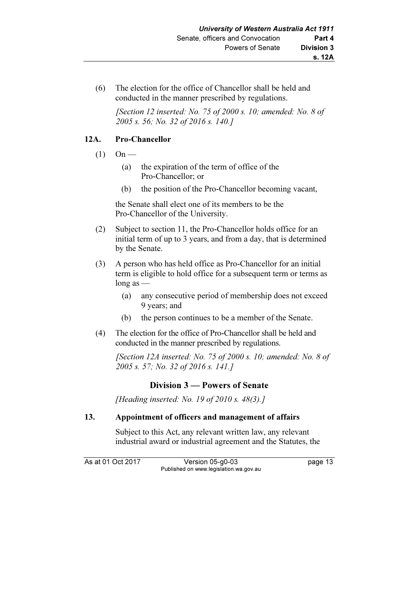(6) The election for the office of Chancellor shall be held and conducted in the manner prescribed by regulations.

[Section 12 inserted: No. 75 of 2000 s. 10; amended: No. 8 of 2005 s. 56; No. 32 of 2016 s. 140.]

### 12A. Pro-Chancellor

- $(1)$  On
	- (a) the expiration of the term of office of the Pro-Chancellor; or
	- (b) the position of the Pro-Chancellor becoming vacant,

 the Senate shall elect one of its members to be the Pro-Chancellor of the University.

- (2) Subject to section 11, the Pro-Chancellor holds office for an initial term of up to 3 years, and from a day, that is determined by the Senate.
- (3) A person who has held office as Pro-Chancellor for an initial term is eligible to hold office for a subsequent term or terms as long as —
	- (a) any consecutive period of membership does not exceed 9 years; and
	- (b) the person continues to be a member of the Senate.
- (4) The election for the office of Pro-Chancellor shall be held and conducted in the manner prescribed by regulations.

[Section 12A inserted: No. 75 of 2000 s. 10; amended: No. 8 of 2005 s. 57; No. 32 of 2016 s. 141.]

### Division 3 — Powers of Senate

[Heading inserted: No. 19 of 2010 s. 48(3).]

### 13. Appointment of officers and management of affairs

 Subject to this Act, any relevant written law, any relevant industrial award or industrial agreement and the Statutes, the

As at 01 Oct 2017 Version 05-g0-03 page 13 Published on www.legislation.wa.gov.au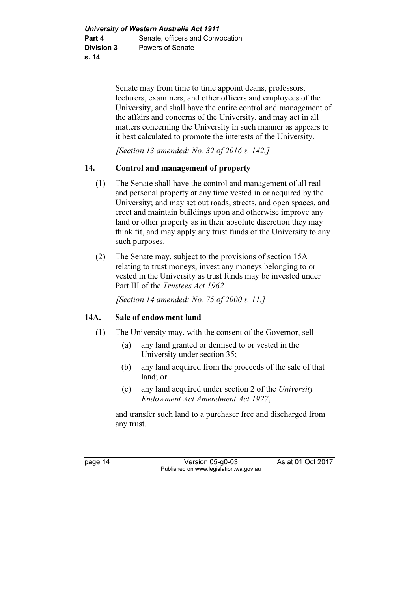Senate may from time to time appoint deans, professors, lecturers, examiners, and other officers and employees of the University, and shall have the entire control and management of the affairs and concerns of the University, and may act in all matters concerning the University in such manner as appears to it best calculated to promote the interests of the University.

[Section 13 amended: No. 32 of 2016 s. 142.]

### 14. Control and management of property

- (1) The Senate shall have the control and management of all real and personal property at any time vested in or acquired by the University; and may set out roads, streets, and open spaces, and erect and maintain buildings upon and otherwise improve any land or other property as in their absolute discretion they may think fit, and may apply any trust funds of the University to any such purposes.
- (2) The Senate may, subject to the provisions of section 15A relating to trust moneys, invest any moneys belonging to or vested in the University as trust funds may be invested under Part III of the Trustees Act 1962.

[Section 14 amended: No. 75 of 2000 s. 11.]

### 14A. Sale of endowment land

- (1) The University may, with the consent of the Governor, sell
	- (a) any land granted or demised to or vested in the University under section 35;
	- (b) any land acquired from the proceeds of the sale of that land; or
	- (c) any land acquired under section 2 of the University Endowment Act Amendment Act 1927,

 and transfer such land to a purchaser free and discharged from any trust.

page 14 Version 05-g0-03 As at 01 Oct 2017 Published on www.legislation.wa.gov.au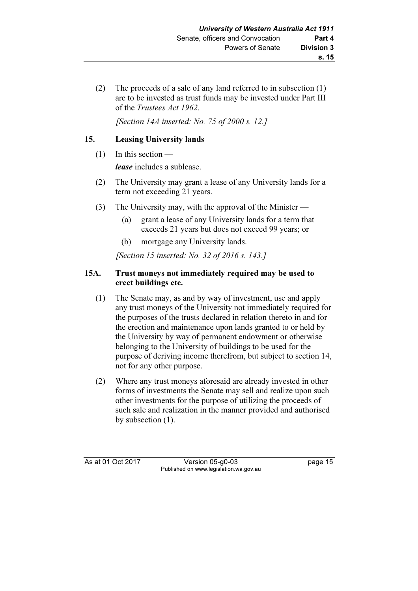(2) The proceeds of a sale of any land referred to in subsection (1) are to be invested as trust funds may be invested under Part III of the Trustees Act 1962.

[Section 14A inserted: No. 75 of 2000 s. 12.]

### 15. Leasing University lands

(1) In this section —

lease includes a sublease.

- (2) The University may grant a lease of any University lands for a term not exceeding 21 years.
- (3) The University may, with the approval of the Minister
	- (a) grant a lease of any University lands for a term that exceeds 21 years but does not exceed 99 years; or
	- (b) mortgage any University lands.

[Section 15 inserted: No. 32 of 2016 s. 143.]

### 15A. Trust moneys not immediately required may be used to erect buildings etc.

- (1) The Senate may, as and by way of investment, use and apply any trust moneys of the University not immediately required for the purposes of the trusts declared in relation thereto in and for the erection and maintenance upon lands granted to or held by the University by way of permanent endowment or otherwise belonging to the University of buildings to be used for the purpose of deriving income therefrom, but subject to section 14, not for any other purpose.
- (2) Where any trust moneys aforesaid are already invested in other forms of investments the Senate may sell and realize upon such other investments for the purpose of utilizing the proceeds of such sale and realization in the manner provided and authorised by subsection (1).

As at 01 Oct 2017 Version 05-g0-03 page 15 Published on www.legislation.wa.gov.au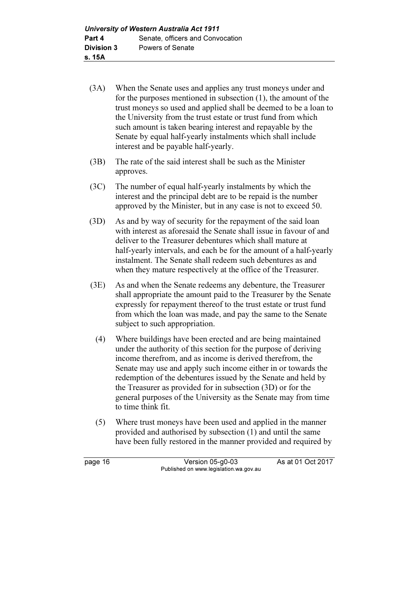- (3A) When the Senate uses and applies any trust moneys under and for the purposes mentioned in subsection (1), the amount of the trust moneys so used and applied shall be deemed to be a loan to the University from the trust estate or trust fund from which such amount is taken bearing interest and repayable by the Senate by equal half-yearly instalments which shall include interest and be payable half-yearly.
- (3B) The rate of the said interest shall be such as the Minister approves.
- (3C) The number of equal half-yearly instalments by which the interest and the principal debt are to be repaid is the number approved by the Minister, but in any case is not to exceed 50.
- (3D) As and by way of security for the repayment of the said loan with interest as aforesaid the Senate shall issue in favour of and deliver to the Treasurer debentures which shall mature at half-yearly intervals, and each be for the amount of a half-yearly instalment. The Senate shall redeem such debentures as and when they mature respectively at the office of the Treasurer.
- (3E) As and when the Senate redeems any debenture, the Treasurer shall appropriate the amount paid to the Treasurer by the Senate expressly for repayment thereof to the trust estate or trust fund from which the loan was made, and pay the same to the Senate subject to such appropriation.
	- (4) Where buildings have been erected and are being maintained under the authority of this section for the purpose of deriving income therefrom, and as income is derived therefrom, the Senate may use and apply such income either in or towards the redemption of the debentures issued by the Senate and held by the Treasurer as provided for in subsection (3D) or for the general purposes of the University as the Senate may from time to time think fit.
	- (5) Where trust moneys have been used and applied in the manner provided and authorised by subsection (1) and until the same have been fully restored in the manner provided and required by

page 16 Version 05-g0-03 As at 01 Oct 2017 Published on www.legislation.wa.gov.au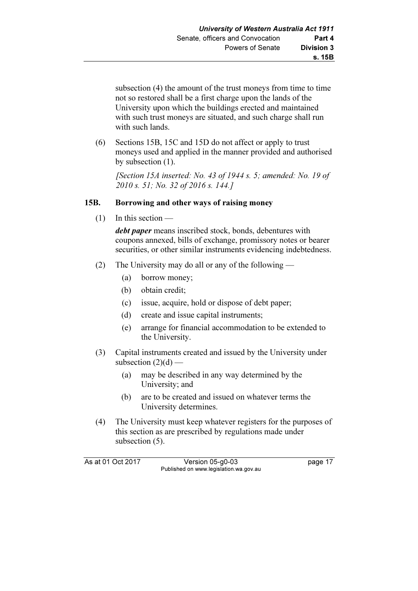subsection (4) the amount of the trust moneys from time to time not so restored shall be a first charge upon the lands of the University upon which the buildings erected and maintained with such trust moneys are situated, and such charge shall run with such lands.

 (6) Sections 15B, 15C and 15D do not affect or apply to trust moneys used and applied in the manner provided and authorised by subsection (1).

 [Section 15A inserted: No. 43 of 1944 s. 5; amended: No. 19 of 2010 s. 51; No. 32 of 2016 s. 144.]

### 15B. Borrowing and other ways of raising money

 $(1)$  In this section —

debt paper means inscribed stock, bonds, debentures with coupons annexed, bills of exchange, promissory notes or bearer securities, or other similar instruments evidencing indebtedness.

- (2) The University may do all or any of the following
	- (a) borrow money;
	- (b) obtain credit;
	- (c) issue, acquire, hold or dispose of debt paper;
	- (d) create and issue capital instruments;
	- (e) arrange for financial accommodation to be extended to the University.
- (3) Capital instruments created and issued by the University under subsection  $(2)(d)$  —
	- (a) may be described in any way determined by the University; and
	- (b) are to be created and issued on whatever terms the University determines.
- (4) The University must keep whatever registers for the purposes of this section as are prescribed by regulations made under subsection  $(5)$ .

As at 01 Oct 2017 Version 05-g0-03 page 17 Published on www.legislation.wa.gov.au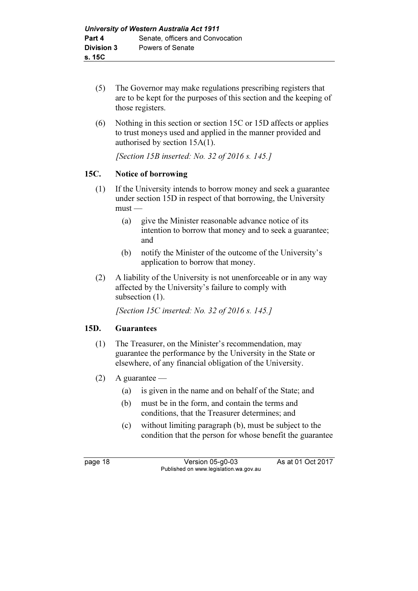- (5) The Governor may make regulations prescribing registers that are to be kept for the purposes of this section and the keeping of those registers.
- (6) Nothing in this section or section 15C or 15D affects or applies to trust moneys used and applied in the manner provided and authorised by section 15A(1).

[Section 15B inserted: No. 32 of 2016 s. 145.]

### 15C. Notice of borrowing

- (1) If the University intends to borrow money and seek a guarantee under section 15D in respect of that borrowing, the University must —
	- (a) give the Minister reasonable advance notice of its intention to borrow that money and to seek a guarantee; and
	- (b) notify the Minister of the outcome of the University's application to borrow that money.
- (2) A liability of the University is not unenforceable or in any way affected by the University's failure to comply with subsection  $(1)$ .

[Section 15C inserted: No. 32 of 2016 s. 145.]

### 15D. Guarantees

- (1) The Treasurer, on the Minister's recommendation, may guarantee the performance by the University in the State or elsewhere, of any financial obligation of the University.
- $(2)$  A guarantee
	- (a) is given in the name and on behalf of the State; and
	- (b) must be in the form, and contain the terms and conditions, that the Treasurer determines; and
	- (c) without limiting paragraph (b), must be subject to the condition that the person for whose benefit the guarantee

page 18 Version 05-g0-03 As at 01 Oct 2017 Published on www.legislation.wa.gov.au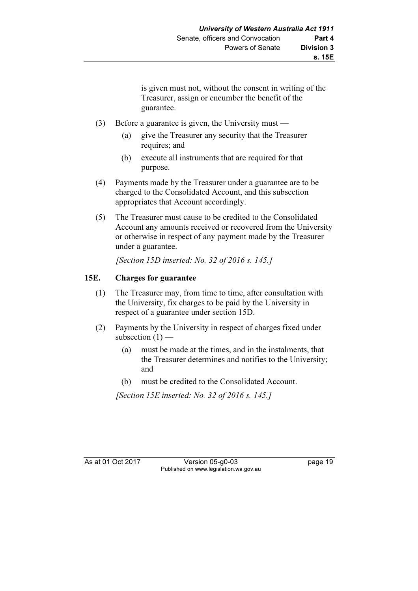is given must not, without the consent in writing of the Treasurer, assign or encumber the benefit of the guarantee.

- (3) Before a guarantee is given, the University must
	- (a) give the Treasurer any security that the Treasurer requires; and
	- (b) execute all instruments that are required for that purpose.
- (4) Payments made by the Treasurer under a guarantee are to be charged to the Consolidated Account, and this subsection appropriates that Account accordingly.
- (5) The Treasurer must cause to be credited to the Consolidated Account any amounts received or recovered from the University or otherwise in respect of any payment made by the Treasurer under a guarantee.

[Section 15D inserted: No. 32 of 2016 s. 145.]

### 15E. Charges for guarantee

- (1) The Treasurer may, from time to time, after consultation with the University, fix charges to be paid by the University in respect of a guarantee under section 15D.
- (2) Payments by the University in respect of charges fixed under subsection  $(1)$  —
	- (a) must be made at the times, and in the instalments, that the Treasurer determines and notifies to the University; and
	- (b) must be credited to the Consolidated Account.

[Section 15E inserted: No. 32 of 2016 s. 145.]

As at 01 Oct 2017 Version 05-g0-03 page 19 Published on www.legislation.wa.gov.au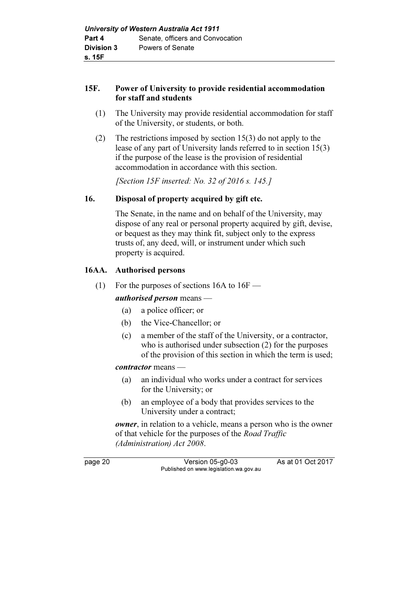### 15F. Power of University to provide residential accommodation for staff and students

- (1) The University may provide residential accommodation for staff of the University, or students, or both.
- (2) The restrictions imposed by section 15(3) do not apply to the lease of any part of University lands referred to in section 15(3) if the purpose of the lease is the provision of residential accommodation in accordance with this section.

[Section 15F inserted: No. 32 of 2016 s. 145.]

### 16. Disposal of property acquired by gift etc.

 The Senate, in the name and on behalf of the University, may dispose of any real or personal property acquired by gift, devise, or bequest as they may think fit, subject only to the express trusts of, any deed, will, or instrument under which such property is acquired.

### 16AA. Authorised persons

(1) For the purposes of sections  $16A$  to  $16F$  —

authorised person means —

- (a) a police officer; or
- (b) the Vice-Chancellor; or
- (c) a member of the staff of the University, or a contractor, who is authorised under subsection (2) for the purposes of the provision of this section in which the term is used;

### contractor means —

- (a) an individual who works under a contract for services for the University; or
- (b) an employee of a body that provides services to the University under a contract;

owner, in relation to a vehicle, means a person who is the owner of that vehicle for the purposes of the Road Traffic (Administration) Act 2008.

page 20 Version 05-g0-03 As at 01 Oct 2017 Published on www.legislation.wa.gov.au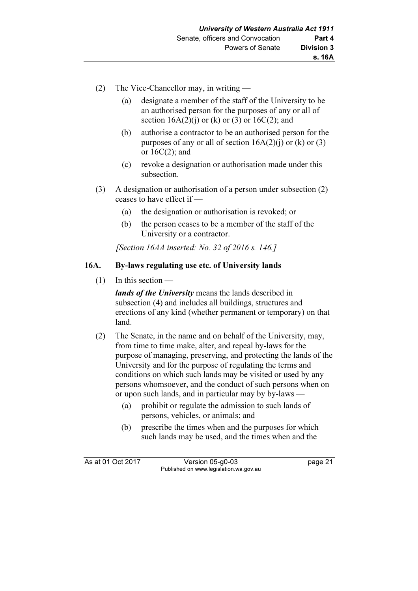- (2) The Vice-Chancellor may, in writing
	- (a) designate a member of the staff of the University to be an authorised person for the purposes of any or all of section  $16A(2)(i)$  or  $(k)$  or  $(3)$  or  $16C(2)$ ; and
	- (b) authorise a contractor to be an authorised person for the purposes of any or all of section  $16A(2)(i)$  or  $(k)$  or  $(3)$ or 16C(2); and
	- (c) revoke a designation or authorisation made under this subsection.
- (3) A designation or authorisation of a person under subsection (2) ceases to have effect if —
	- (a) the designation or authorisation is revoked; or
	- (b) the person ceases to be a member of the staff of the University or a contractor.

[Section 16AA inserted: No. 32 of 2016 s. 146.]

### 16A. By-laws regulating use etc. of University lands

(1) In this section —

lands of the University means the lands described in subsection (4) and includes all buildings, structures and erections of any kind (whether permanent or temporary) on that land.

- (2) The Senate, in the name and on behalf of the University, may, from time to time make, alter, and repeal by-laws for the purpose of managing, preserving, and protecting the lands of the University and for the purpose of regulating the terms and conditions on which such lands may be visited or used by any persons whomsoever, and the conduct of such persons when on or upon such lands, and in particular may by by-laws —
	- (a) prohibit or regulate the admission to such lands of persons, vehicles, or animals; and
	- (b) prescribe the times when and the purposes for which such lands may be used, and the times when and the

As at 01 Oct 2017 Version 05-g0-03 page 21 Published on www.legislation.wa.gov.au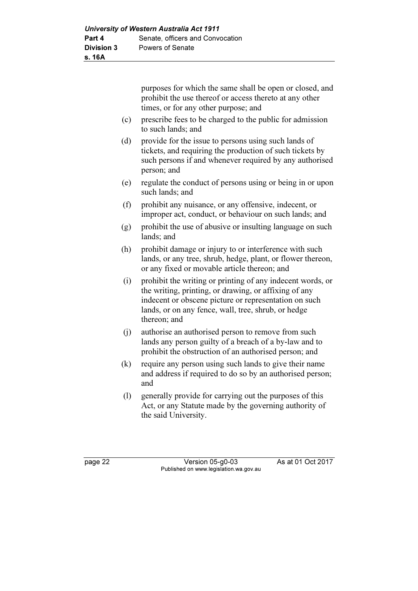purposes for which the same shall be open or closed, and prohibit the use thereof or access thereto at any other times, or for any other purpose; and

- (c) prescribe fees to be charged to the public for admission to such lands; and
- (d) provide for the issue to persons using such lands of tickets, and requiring the production of such tickets by such persons if and whenever required by any authorised person; and
- (e) regulate the conduct of persons using or being in or upon such lands; and
- (f) prohibit any nuisance, or any offensive, indecent, or improper act, conduct, or behaviour on such lands; and
- (g) prohibit the use of abusive or insulting language on such lands; and
- (h) prohibit damage or injury to or interference with such lands, or any tree, shrub, hedge, plant, or flower thereon, or any fixed or movable article thereon; and
- (i) prohibit the writing or printing of any indecent words, or the writing, printing, or drawing, or affixing of any indecent or obscene picture or representation on such lands, or on any fence, wall, tree, shrub, or hedge thereon; and
- (j) authorise an authorised person to remove from such lands any person guilty of a breach of a by-law and to prohibit the obstruction of an authorised person; and
- (k) require any person using such lands to give their name and address if required to do so by an authorised person; and
- (l) generally provide for carrying out the purposes of this Act, or any Statute made by the governing authority of the said University.

page 22 Version 05-g0-03 As at 01 Oct 2017 Published on www.legislation.wa.gov.au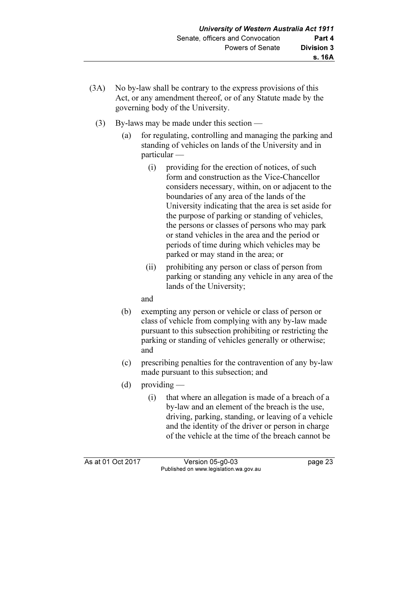- (3A) No by-law shall be contrary to the express provisions of this Act, or any amendment thereof, or of any Statute made by the governing body of the University.
	- (3) By-laws may be made under this section
		- (a) for regulating, controlling and managing the parking and standing of vehicles on lands of the University and in particular —
			- (i) providing for the erection of notices, of such form and construction as the Vice-Chancellor considers necessary, within, on or adjacent to the boundaries of any area of the lands of the University indicating that the area is set aside for the purpose of parking or standing of vehicles, the persons or classes of persons who may park or stand vehicles in the area and the period or periods of time during which vehicles may be parked or may stand in the area; or
			- (ii) prohibiting any person or class of person from parking or standing any vehicle in any area of the lands of the University;

and

- (b) exempting any person or vehicle or class of person or class of vehicle from complying with any by-law made pursuant to this subsection prohibiting or restricting the parking or standing of vehicles generally or otherwise; and
- (c) prescribing penalties for the contravention of any by-law made pursuant to this subsection; and
- (d) providing
	- (i) that where an allegation is made of a breach of a by-law and an element of the breach is the use, driving, parking, standing, or leaving of a vehicle and the identity of the driver or person in charge of the vehicle at the time of the breach cannot be

As at 01 Oct 2017 Version 05-g0-03 page 23 Published on www.legislation.wa.gov.au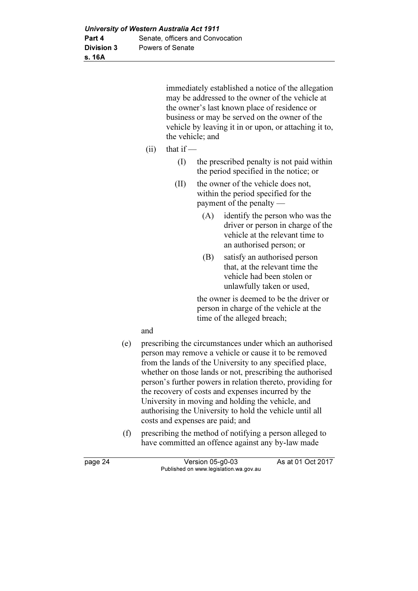immediately established a notice of the allegation may be addressed to the owner of the vehicle at the owner's last known place of residence or business or may be served on the owner of the vehicle by leaving it in or upon, or attaching it to, the vehicle; and

- $(iii)$  that if
	- (I) the prescribed penalty is not paid within the period specified in the notice; or
	- (II) the owner of the vehicle does not, within the period specified for the payment of the penalty —
		- (A) identify the person who was the driver or person in charge of the vehicle at the relevant time to an authorised person; or
		- (B) satisfy an authorised person that, at the relevant time the vehicle had been stolen or unlawfully taken or used,

 the owner is deemed to be the driver or person in charge of the vehicle at the time of the alleged breach;

and

- (e) prescribing the circumstances under which an authorised person may remove a vehicle or cause it to be removed from the lands of the University to any specified place, whether on those lands or not, prescribing the authorised person's further powers in relation thereto, providing for the recovery of costs and expenses incurred by the University in moving and holding the vehicle, and authorising the University to hold the vehicle until all costs and expenses are paid; and
- (f) prescribing the method of notifying a person alleged to have committed an offence against any by-law made

| page 24 | Version 05-g0-03                       | As at 01 Oct 2017 |
|---------|----------------------------------------|-------------------|
|         | Published on www.legislation.wa.gov.au |                   |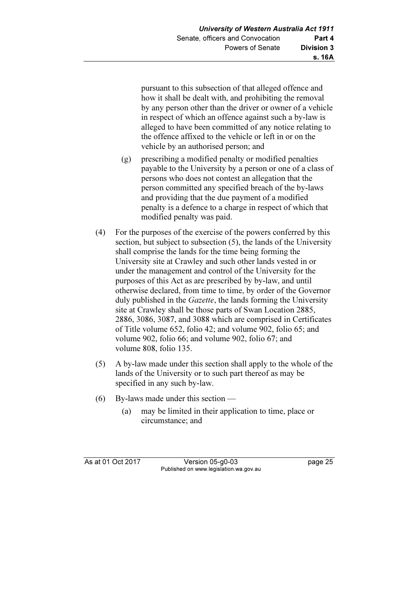pursuant to this subsection of that alleged offence and how it shall be dealt with, and prohibiting the removal by any person other than the driver or owner of a vehicle in respect of which an offence against such a by-law is alleged to have been committed of any notice relating to the offence affixed to the vehicle or left in or on the vehicle by an authorised person; and

- (g) prescribing a modified penalty or modified penalties payable to the University by a person or one of a class of persons who does not contest an allegation that the person committed any specified breach of the by-laws and providing that the due payment of a modified penalty is a defence to a charge in respect of which that modified penalty was paid.
- (4) For the purposes of the exercise of the powers conferred by this section, but subject to subsection (5), the lands of the University shall comprise the lands for the time being forming the University site at Crawley and such other lands vested in or under the management and control of the University for the purposes of this Act as are prescribed by by-law, and until otherwise declared, from time to time, by order of the Governor duly published in the *Gazette*, the lands forming the University site at Crawley shall be those parts of Swan Location 2885, 2886, 3086, 3087, and 3088 which are comprised in Certificates of Title volume 652, folio 42; and volume 902, folio 65; and volume 902, folio 66; and volume 902, folio 67; and volume 808, folio 135.
- (5) A by-law made under this section shall apply to the whole of the lands of the University or to such part thereof as may be specified in any such by-law.
- (6) By-laws made under this section
	- (a) may be limited in their application to time, place or circumstance; and

As at 01 Oct 2017 Version 05-g0-03 page 25 Published on www.legislation.wa.gov.au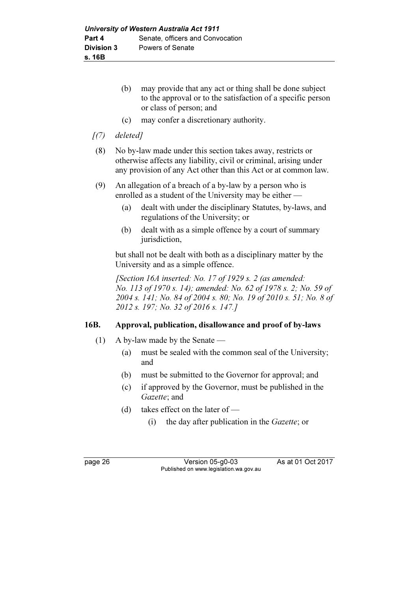- (b) may provide that any act or thing shall be done subject to the approval or to the satisfaction of a specific person or class of person; and
- (c) may confer a discretionary authority.
- $(7)$  deleted]
- (8) No by-law made under this section takes away, restricts or otherwise affects any liability, civil or criminal, arising under any provision of any Act other than this Act or at common law.
- (9) An allegation of a breach of a by-law by a person who is enrolled as a student of the University may be either —
	- (a) dealt with under the disciplinary Statutes, by-laws, and regulations of the University; or
	- (b) dealt with as a simple offence by a court of summary jurisdiction,

 but shall not be dealt with both as a disciplinary matter by the University and as a simple offence.

[Section 16A inserted: No. 17 of 1929 s. 2 (as amended: No. 113 of 1970 s. 14); amended: No. 62 of 1978 s. 2; No. 59 of 2004 s. 141; No. 84 of 2004 s. 80; No. 19 of 2010 s. 51; No. 8 of 2012 s. 197; No. 32 of 2016 s. 147.]

### 16B. Approval, publication, disallowance and proof of by-laws

- (1) A by-law made by the Senate
	- (a) must be sealed with the common seal of the University; and
	- (b) must be submitted to the Governor for approval; and
	- (c) if approved by the Governor, must be published in the Gazette: and
	- (d) takes effect on the later of
		- (i) the day after publication in the Gazette; or

page 26 Version 05-g0-03 As at 01 Oct 2017 Published on www.legislation.wa.gov.au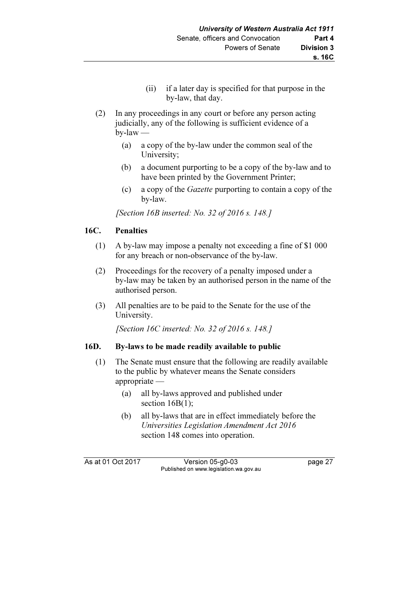- (ii) if a later day is specified for that purpose in the by-law, that day.
- (2) In any proceedings in any court or before any person acting judicially, any of the following is sufficient evidence of a  $b$ y-law —
	- (a) a copy of the by-law under the common seal of the University;
	- (b) a document purporting to be a copy of the by-law and to have been printed by the Government Printer;
	- (c) a copy of the Gazette purporting to contain a copy of the by-law.

[Section 16B inserted: No. 32 of 2016 s. 148.]

### 16C. Penalties

- (1) A by-law may impose a penalty not exceeding a fine of \$1 000 for any breach or non-observance of the by-law.
- (2) Proceedings for the recovery of a penalty imposed under a by-law may be taken by an authorised person in the name of the authorised person.
- (3) All penalties are to be paid to the Senate for the use of the University.

[Section 16C inserted: No. 32 of 2016 s. 148.]

### 16D. By-laws to be made readily available to public

- (1) The Senate must ensure that the following are readily available to the public by whatever means the Senate considers appropriate —
	- (a) all by-laws approved and published under section 16B(1);
	- (b) all by-laws that are in effect immediately before the Universities Legislation Amendment Act 2016 section 148 comes into operation.

As at 01 Oct 2017 Version 05-g0-03 page 27 Published on www.legislation.wa.gov.au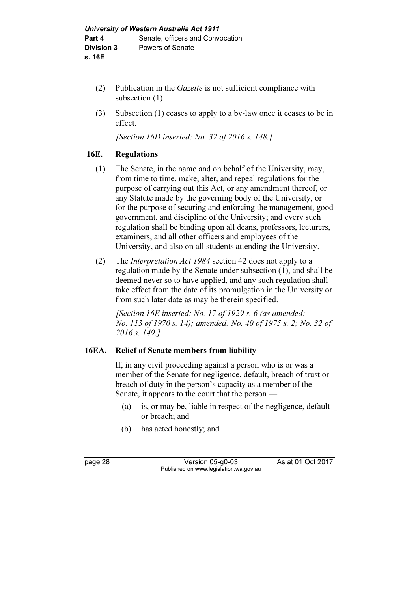- (2) Publication in the Gazette is not sufficient compliance with subsection  $(1)$ .
- (3) Subsection (1) ceases to apply to a by-law once it ceases to be in effect.

[Section 16D inserted: No. 32 of 2016 s. 148.]

### 16E. Regulations

- (1) The Senate, in the name and on behalf of the University, may, from time to time, make, alter, and repeal regulations for the purpose of carrying out this Act, or any amendment thereof, or any Statute made by the governing body of the University, or for the purpose of securing and enforcing the management, good government, and discipline of the University; and every such regulation shall be binding upon all deans, professors, lecturers, examiners, and all other officers and employees of the University, and also on all students attending the University.
- (2) The Interpretation Act 1984 section 42 does not apply to a regulation made by the Senate under subsection (1), and shall be deemed never so to have applied, and any such regulation shall take effect from the date of its promulgation in the University or from such later date as may be therein specified.

[Section 16E inserted: No. 17 of 1929 s. 6 (as amended: No. 113 of 1970 s. 14); amended: No. 40 of 1975 s. 2; No. 32 of 2016 s. 149.]

### 16EA. Relief of Senate members from liability

 If, in any civil proceeding against a person who is or was a member of the Senate for negligence, default, breach of trust or breach of duty in the person's capacity as a member of the Senate, it appears to the court that the person —

- (a) is, or may be, liable in respect of the negligence, default or breach; and
- (b) has acted honestly; and

page 28 Version 05-g0-03 As at 01 Oct 2017 Published on www.legislation.wa.gov.au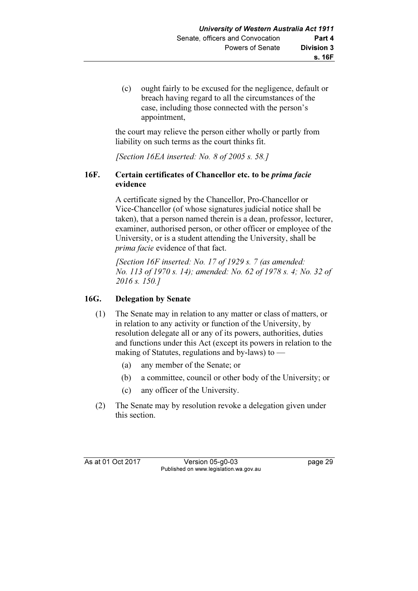(c) ought fairly to be excused for the negligence, default or breach having regard to all the circumstances of the case, including those connected with the person's appointment,

 the court may relieve the person either wholly or partly from liability on such terms as the court thinks fit.

[Section 16EA inserted: No. 8 of 2005 s. 58.]

### 16F. Certain certificates of Chancellor etc. to be prima facie evidence

 A certificate signed by the Chancellor, Pro-Chancellor or Vice-Chancellor (of whose signatures judicial notice shall be taken), that a person named therein is a dean, professor, lecturer, examiner, authorised person, or other officer or employee of the University, or is a student attending the University, shall be prima facie evidence of that fact.

[Section 16F inserted: No. 17 of 1929 s. 7 (as amended: No. 113 of 1970 s. 14); amended: No. 62 of 1978 s. 4; No. 32 of 2016 s. 150.7

### 16G. Delegation by Senate

- (1) The Senate may in relation to any matter or class of matters, or in relation to any activity or function of the University, by resolution delegate all or any of its powers, authorities, duties and functions under this Act (except its powers in relation to the making of Statutes, regulations and by-laws) to —
	- (a) any member of the Senate; or
	- (b) a committee, council or other body of the University; or
	- (c) any officer of the University.
- (2) The Senate may by resolution revoke a delegation given under this section.

As at 01 Oct 2017 Version 05-g0-03 page 29 Published on www.legislation.wa.gov.au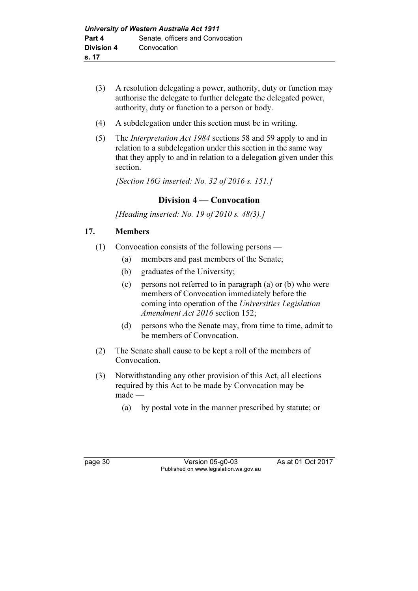- (3) A resolution delegating a power, authority, duty or function may authorise the delegate to further delegate the delegated power, authority, duty or function to a person or body.
- (4) A subdelegation under this section must be in writing.
- (5) The Interpretation Act 1984 sections 58 and 59 apply to and in relation to a subdelegation under this section in the same way that they apply to and in relation to a delegation given under this section.

[Section 16G inserted: No. 32 of 2016 s. 151.]

### Division 4 — Convocation

[Heading inserted: No. 19 of 2010 s. 48(3).]

### 17. Members

- (1) Convocation consists of the following persons
	- (a) members and past members of the Senate;
	- (b) graduates of the University;
	- (c) persons not referred to in paragraph (a) or (b) who were members of Convocation immediately before the coming into operation of the Universities Legislation Amendment Act 2016 section 152;
	- (d) persons who the Senate may, from time to time, admit to be members of Convocation.
- (2) The Senate shall cause to be kept a roll of the members of Convocation.
- (3) Notwithstanding any other provision of this Act, all elections required by this Act to be made by Convocation may be made —
	- (a) by postal vote in the manner prescribed by statute; or

page 30 Version 05-g0-03 As at 01 Oct 2017 Published on www.legislation.wa.gov.au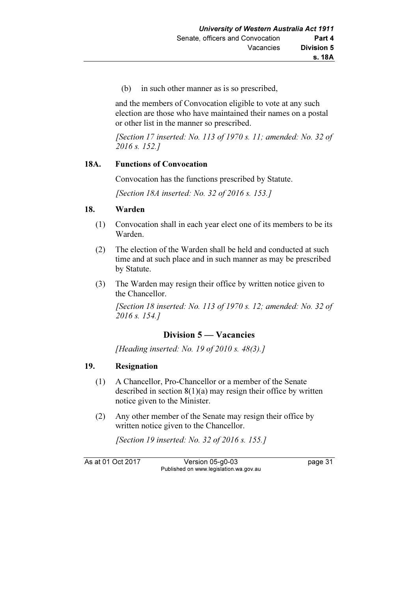(b) in such other manner as is so prescribed,

 and the members of Convocation eligible to vote at any such election are those who have maintained their names on a postal or other list in the manner so prescribed.

[Section 17 inserted: No. 113 of 1970 s. 11; amended: No. 32 of 2016 s. 152.]

### 18A. Functions of Convocation

Convocation has the functions prescribed by Statute.

[Section 18A inserted: No. 32 of 2016 s. 153.]

### 18. Warden

- (1) Convocation shall in each year elect one of its members to be its Warden.
- (2) The election of the Warden shall be held and conducted at such time and at such place and in such manner as may be prescribed by Statute.
- (3) The Warden may resign their office by written notice given to the Chancellor.

 [Section 18 inserted: No. 113 of 1970 s. 12; amended: No. 32 of 2016 s. 154.]

## Division 5 — Vacancies

[Heading inserted: No. 19 of 2010 s. 48(3).]

### 19. Resignation

- (1) A Chancellor, Pro-Chancellor or a member of the Senate described in section  $8(1)(a)$  may resign their office by written notice given to the Minister.
- (2) Any other member of the Senate may resign their office by written notice given to the Chancellor.

[Section 19 inserted: No. 32 of 2016 s. 155.]

As at 01 Oct 2017 Version 05-g0-03 page 31 Published on www.legislation.wa.gov.au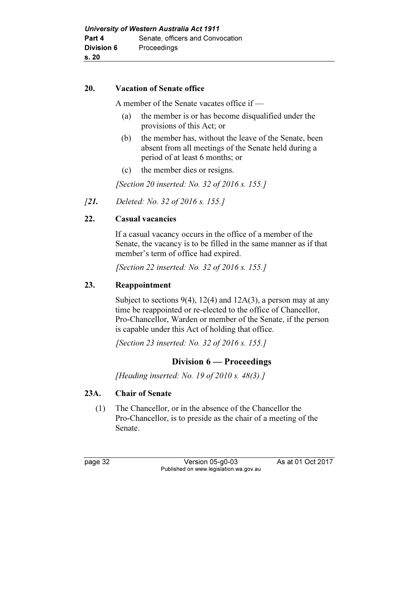### 20. Vacation of Senate office

A member of the Senate vacates office if —

- (a) the member is or has become disqualified under the provisions of this Act; or
- (b) the member has, without the leave of the Senate, been absent from all meetings of the Senate held during a period of at least 6 months; or
- (c) the member dies or resigns.

[Section 20 inserted: No. 32 of 2016 s. 155.]

[21. Deleted: No. 32 of 2016 s. 155.]

### 22. Casual vacancies

 If a casual vacancy occurs in the office of a member of the Senate, the vacancy is to be filled in the same manner as if that member's term of office had expired.

[Section 22 inserted: No. 32 of 2016 s. 155.]

### 23. Reappointment

Subject to sections  $9(4)$ , 12(4) and 12A(3), a person may at any time be reappointed or re-elected to the office of Chancellor, Pro-Chancellor, Warden or member of the Senate, if the person is capable under this Act of holding that office.

[Section 23 inserted: No. 32 of 2016 s. 155.]

### Division 6 — Proceedings

[Heading inserted: No. 19 of 2010 s. 48(3).]

### 23A. Chair of Senate

 (1) The Chancellor, or in the absence of the Chancellor the Pro-Chancellor, is to preside as the chair of a meeting of the Senate.

page 32 Version 05-g0-03 As at 01 Oct 2017 Published on www.legislation.wa.gov.au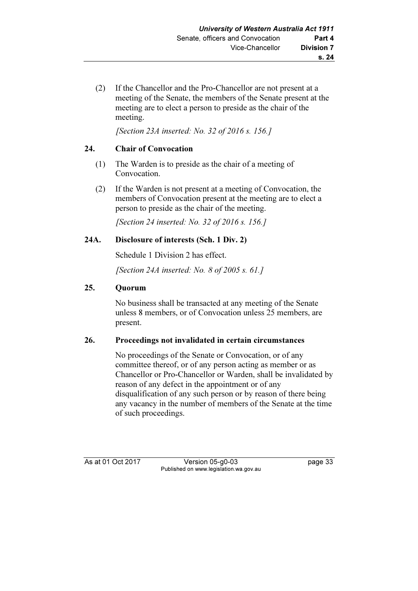(2) If the Chancellor and the Pro-Chancellor are not present at a meeting of the Senate, the members of the Senate present at the meeting are to elect a person to preside as the chair of the meeting.

[Section 23A inserted: No. 32 of 2016 s. 156.]

### 24. Chair of Convocation

- (1) The Warden is to preside as the chair of a meeting of Convocation.
- (2) If the Warden is not present at a meeting of Convocation, the members of Convocation present at the meeting are to elect a person to preside as the chair of the meeting.

[Section 24 inserted: No. 32 of 2016 s. 156.]

### 24A. Disclosure of interests (Sch. 1 Div. 2)

Schedule 1 Division 2 has effect.

[Section 24A inserted: No. 8 of 2005 s. 61.]

### 25. Quorum

 No business shall be transacted at any meeting of the Senate unless 8 members, or of Convocation unless 25 members, are present.

### 26. Proceedings not invalidated in certain circumstances

 No proceedings of the Senate or Convocation, or of any committee thereof, or of any person acting as member or as Chancellor or Pro-Chancellor or Warden, shall be invalidated by reason of any defect in the appointment or of any disqualification of any such person or by reason of there being any vacancy in the number of members of the Senate at the time of such proceedings.

As at 01 Oct 2017 Version 05-g0-03 page 33 Published on www.legislation.wa.gov.au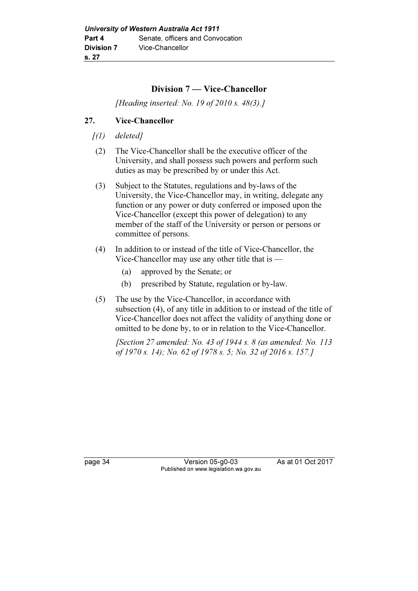### Division 7 — Vice-Chancellor

[Heading inserted: No. 19 of 2010 s. 48(3).]

### 27. Vice-Chancellor

- $(1)$  deleted]
- (2) The Vice-Chancellor shall be the executive officer of the University, and shall possess such powers and perform such duties as may be prescribed by or under this Act.
- (3) Subject to the Statutes, regulations and by-laws of the University, the Vice-Chancellor may, in writing, delegate any function or any power or duty conferred or imposed upon the Vice-Chancellor (except this power of delegation) to any member of the staff of the University or person or persons or committee of persons.
- (4) In addition to or instead of the title of Vice-Chancellor, the Vice-Chancellor may use any other title that is —
	- (a) approved by the Senate; or
	- (b) prescribed by Statute, regulation or by-law.
- (5) The use by the Vice-Chancellor, in accordance with subsection (4), of any title in addition to or instead of the title of Vice-Chancellor does not affect the validity of anything done or omitted to be done by, to or in relation to the Vice-Chancellor.

[Section 27 amended: No. 43 of 1944 s. 8 (as amended: No. 113 of 1970 s. 14); No. 62 of 1978 s. 5; No. 32 of 2016 s. 157.]

page 34 Version 05-g0-03 As at 01 Oct 2017 Published on www.legislation.wa.gov.au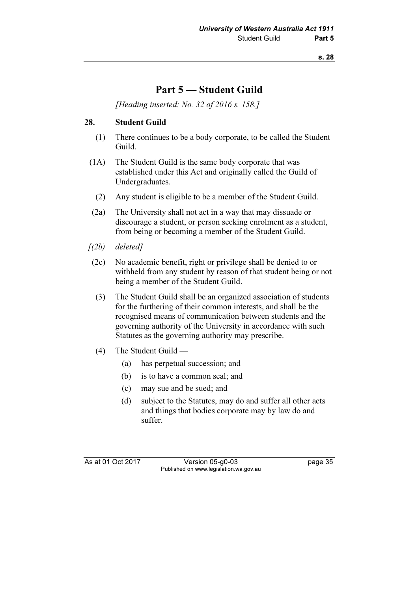# Part 5 — Student Guild

[Heading inserted: No. 32 of 2016 s. 158.]

### 28. Student Guild

- (1) There continues to be a body corporate, to be called the Student Guild.
- (1A) The Student Guild is the same body corporate that was established under this Act and originally called the Guild of Undergraduates.
	- (2) Any student is eligible to be a member of the Student Guild.
- (2a) The University shall not act in a way that may dissuade or discourage a student, or person seeking enrolment as a student, from being or becoming a member of the Student Guild.
- $(2b)$  deleted]
- (2c) No academic benefit, right or privilege shall be denied to or withheld from any student by reason of that student being or not being a member of the Student Guild.
- (3) The Student Guild shall be an organized association of students for the furthering of their common interests, and shall be the recognised means of communication between students and the governing authority of the University in accordance with such Statutes as the governing authority may prescribe.
- (4) The Student Guild
	- (a) has perpetual succession; and
	- (b) is to have a common seal; and
	- (c) may sue and be sued; and
	- (d) subject to the Statutes, may do and suffer all other acts and things that bodies corporate may by law do and suffer.

As at 01 Oct 2017 Version 05-g0-03 page 35 Published on www.legislation.wa.gov.au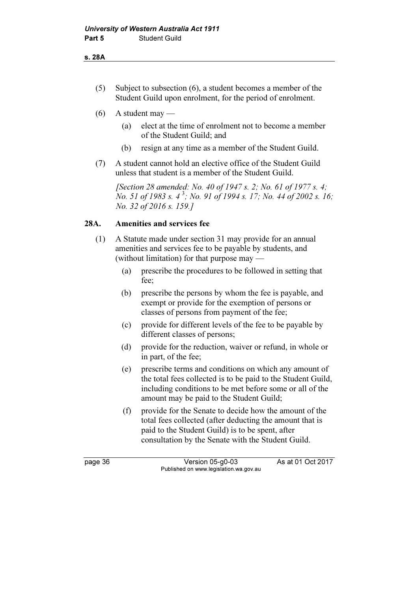- (5) Subject to subsection (6), a student becomes a member of the Student Guild upon enrolment, for the period of enrolment.
- $(6)$  A student may
	- (a) elect at the time of enrolment not to become a member of the Student Guild; and
	- (b) resign at any time as a member of the Student Guild.
- (7) A student cannot hold an elective office of the Student Guild unless that student is a member of the Student Guild.

[Section 28 amended: No. 40 of 1947 s. 2; No. 61 of 1977 s. 4; No. 51 of 1983 s.  $4^3$ ; No. 91 of 1994 s. 17; No. 44 of 2002 s. 16; No. 32 of 2016 s. 159.]

### 28A. Amenities and services fee

- (1) A Statute made under section 31 may provide for an annual amenities and services fee to be payable by students, and (without limitation) for that purpose may —
	- (a) prescribe the procedures to be followed in setting that fee;
	- (b) prescribe the persons by whom the fee is payable, and exempt or provide for the exemption of persons or classes of persons from payment of the fee;
	- (c) provide for different levels of the fee to be payable by different classes of persons;
	- (d) provide for the reduction, waiver or refund, in whole or in part, of the fee;
	- (e) prescribe terms and conditions on which any amount of the total fees collected is to be paid to the Student Guild, including conditions to be met before some or all of the amount may be paid to the Student Guild;
	- (f) provide for the Senate to decide how the amount of the total fees collected (after deducting the amount that is paid to the Student Guild) is to be spent, after consultation by the Senate with the Student Guild.

page 36 Version 05-g0-03 As at 01 Oct 2017 Published on www.legislation.wa.gov.au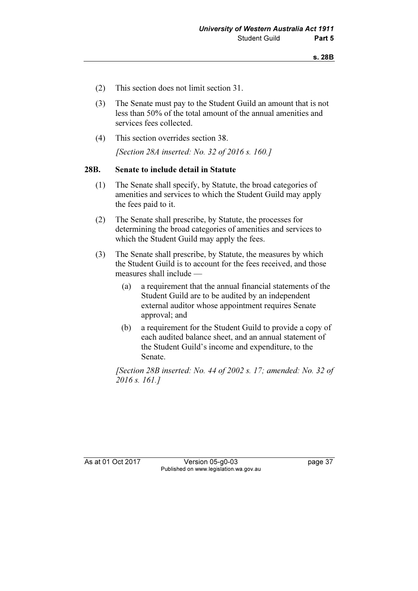- (2) This section does not limit section 31.
- (3) The Senate must pay to the Student Guild an amount that is not less than 50% of the total amount of the annual amenities and services fees collected.
- (4) This section overrides section 38.

[Section 28A inserted: No. 32 of 2016 s. 160.]

#### 28B. Senate to include detail in Statute

- (1) The Senate shall specify, by Statute, the broad categories of amenities and services to which the Student Guild may apply the fees paid to it.
- (2) The Senate shall prescribe, by Statute, the processes for determining the broad categories of amenities and services to which the Student Guild may apply the fees.
- (3) The Senate shall prescribe, by Statute, the measures by which the Student Guild is to account for the fees received, and those measures shall include —
	- (a) a requirement that the annual financial statements of the Student Guild are to be audited by an independent external auditor whose appointment requires Senate approval; and
	- (b) a requirement for the Student Guild to provide a copy of each audited balance sheet, and an annual statement of the Student Guild's income and expenditure, to the Senate.

[Section 28B inserted: No. 44 of 2002 s. 17; amended: No. 32 of 2016 s. 161.]

As at 01 Oct 2017 Version 05-g0-03 page 37 Published on www.legislation.wa.gov.au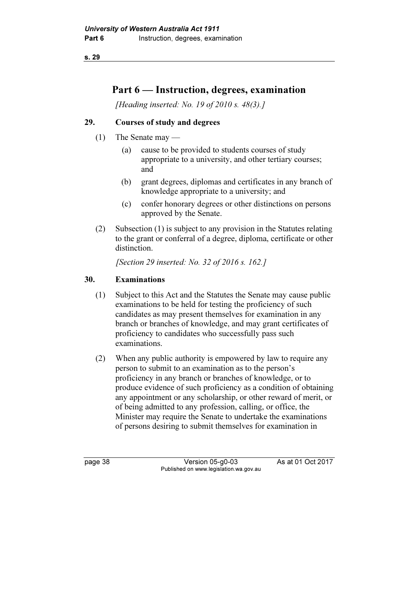# Part 6 — Instruction, degrees, examination

[Heading inserted: No. 19 of 2010 s. 48(3).]

### 29. Courses of study and degrees

- (1) The Senate may
	- (a) cause to be provided to students courses of study appropriate to a university, and other tertiary courses; and
	- (b) grant degrees, diplomas and certificates in any branch of knowledge appropriate to a university; and
	- (c) confer honorary degrees or other distinctions on persons approved by the Senate.
- (2) Subsection (1) is subject to any provision in the Statutes relating to the grant or conferral of a degree, diploma, certificate or other distinction.

[Section 29 inserted: No. 32 of 2016 s. 162.]

### 30. Examinations

- (1) Subject to this Act and the Statutes the Senate may cause public examinations to be held for testing the proficiency of such candidates as may present themselves for examination in any branch or branches of knowledge, and may grant certificates of proficiency to candidates who successfully pass such examinations.
- (2) When any public authority is empowered by law to require any person to submit to an examination as to the person's proficiency in any branch or branches of knowledge, or to produce evidence of such proficiency as a condition of obtaining any appointment or any scholarship, or other reward of merit, or of being admitted to any profession, calling, or office, the Minister may require the Senate to undertake the examinations of persons desiring to submit themselves for examination in

page 38 Version 05-g0-03 As at 01 Oct 2017 Published on www.legislation.wa.gov.au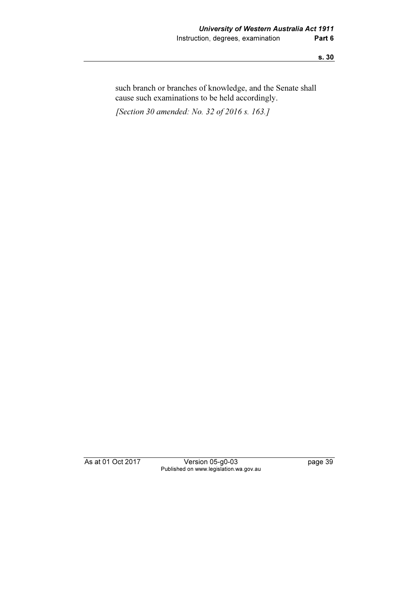such branch or branches of knowledge, and the Senate shall cause such examinations to be held accordingly.

[Section 30 amended: No. 32 of 2016 s. 163.]

As at 01 Oct 2017 Version 05-g0-03 page 39 Published on www.legislation.wa.gov.au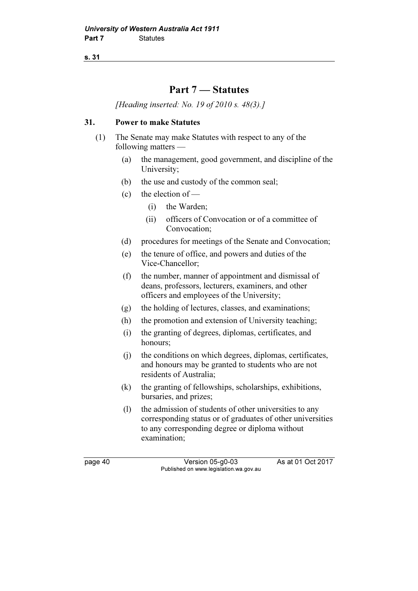## Part 7 — Statutes

[Heading inserted: No. 19 of 2010 s. 48(3).]

### 31. Power to make Statutes

- (1) The Senate may make Statutes with respect to any of the following matters —
	- (a) the management, good government, and discipline of the University;
	- (b) the use and custody of the common seal;
	- (c) the election of  $-$ 
		- (i) the Warden;
		- (ii) officers of Convocation or of a committee of Convocation;
	- (d) procedures for meetings of the Senate and Convocation;
	- (e) the tenure of office, and powers and duties of the Vice-Chancellor;
	- (f) the number, manner of appointment and dismissal of deans, professors, lecturers, examiners, and other officers and employees of the University;
	- (g) the holding of lectures, classes, and examinations;
	- (h) the promotion and extension of University teaching;
	- (i) the granting of degrees, diplomas, certificates, and honours;
	- (j) the conditions on which degrees, diplomas, certificates, and honours may be granted to students who are not residents of Australia;
	- (k) the granting of fellowships, scholarships, exhibitions, bursaries, and prizes;
	- (l) the admission of students of other universities to any corresponding status or of graduates of other universities to any corresponding degree or diploma without examination;

page 40 Version 05-g0-03 As at 01 Oct 2017 Published on www.legislation.wa.gov.au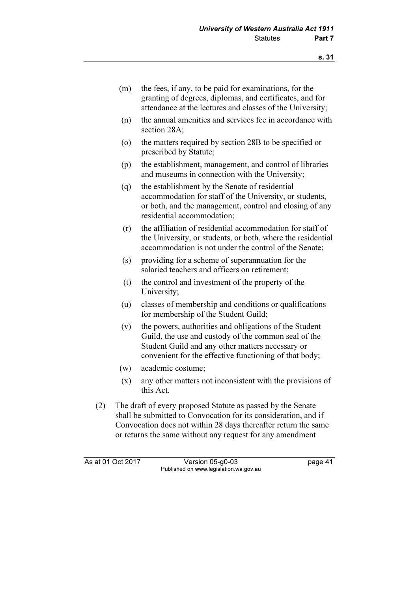- (m) the fees, if any, to be paid for examinations, for the granting of degrees, diplomas, and certificates, and for attendance at the lectures and classes of the University;
- (n) the annual amenities and services fee in accordance with section 28A;
- (o) the matters required by section 28B to be specified or prescribed by Statute;
- (p) the establishment, management, and control of libraries and museums in connection with the University;
- (q) the establishment by the Senate of residential accommodation for staff of the University, or students, or both, and the management, control and closing of any residential accommodation;
- (r) the affiliation of residential accommodation for staff of the University, or students, or both, where the residential accommodation is not under the control of the Senate;
- (s) providing for a scheme of superannuation for the salaried teachers and officers on retirement;
- (t) the control and investment of the property of the University;
- (u) classes of membership and conditions or qualifications for membership of the Student Guild;
- (v) the powers, authorities and obligations of the Student Guild, the use and custody of the common seal of the Student Guild and any other matters necessary or convenient for the effective functioning of that body;
- (w) academic costume;
- (x) any other matters not inconsistent with the provisions of this Act.
- (2) The draft of every proposed Statute as passed by the Senate shall be submitted to Convocation for its consideration, and if Convocation does not within 28 days thereafter return the same or returns the same without any request for any amendment

As at 01 Oct 2017 Version 05-g0-03 page 41 Published on www.legislation.wa.gov.au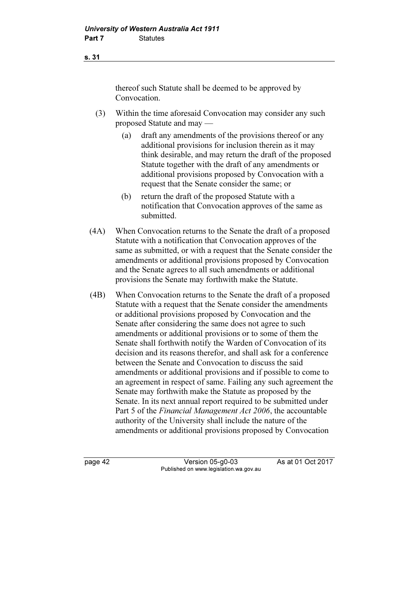thereof such Statute shall be deemed to be approved by Convocation.

- (3) Within the time aforesaid Convocation may consider any such proposed Statute and may —
	- (a) draft any amendments of the provisions thereof or any additional provisions for inclusion therein as it may think desirable, and may return the draft of the proposed Statute together with the draft of any amendments or additional provisions proposed by Convocation with a request that the Senate consider the same; or
	- (b) return the draft of the proposed Statute with a notification that Convocation approves of the same as submitted.
- (4A) When Convocation returns to the Senate the draft of a proposed Statute with a notification that Convocation approves of the same as submitted, or with a request that the Senate consider the amendments or additional provisions proposed by Convocation and the Senate agrees to all such amendments or additional provisions the Senate may forthwith make the Statute.
- (4B) When Convocation returns to the Senate the draft of a proposed Statute with a request that the Senate consider the amendments or additional provisions proposed by Convocation and the Senate after considering the same does not agree to such amendments or additional provisions or to some of them the Senate shall forthwith notify the Warden of Convocation of its decision and its reasons therefor, and shall ask for a conference between the Senate and Convocation to discuss the said amendments or additional provisions and if possible to come to an agreement in respect of same. Failing any such agreement the Senate may forthwith make the Statute as proposed by the Senate. In its next annual report required to be submitted under Part 5 of the Financial Management Act 2006, the accountable authority of the University shall include the nature of the amendments or additional provisions proposed by Convocation

page 42 Version 05-g0-03 As at 01 Oct 2017 Published on www.legislation.wa.gov.au

s. 31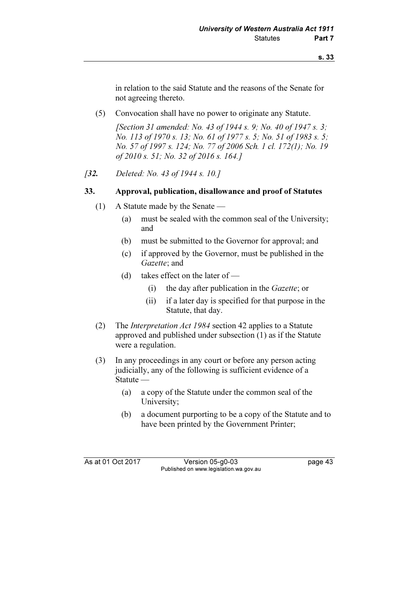in relation to the said Statute and the reasons of the Senate for not agreeing thereto.

(5) Convocation shall have no power to originate any Statute.

[Section 31 amended: No. 43 of 1944 s. 9; No. 40 of 1947 s. 3; No. 113 of 1970 s. 13; No. 61 of 1977 s. 5; No. 51 of 1983 s. 5; No. 57 of 1997 s. 124; No. 77 of 2006 Sch. 1 cl. 172(1); No. 19 of 2010 s. 51; No. 32 of 2016 s. 164.]

[32. Deleted: No. 43 of 1944 s. 10.]

#### 33. Approval, publication, disallowance and proof of Statutes

- (1) A Statute made by the Senate
	- (a) must be sealed with the common seal of the University; and
	- (b) must be submitted to the Governor for approval; and
	- (c) if approved by the Governor, must be published in the Gazette; and
	- (d) takes effect on the later of
		- (i) the day after publication in the Gazette; or
		- (ii) if a later day is specified for that purpose in the Statute, that day.
- (2) The Interpretation Act 1984 section 42 applies to a Statute approved and published under subsection (1) as if the Statute were a regulation.
- (3) In any proceedings in any court or before any person acting judicially, any of the following is sufficient evidence of a Statute —
	- (a) a copy of the Statute under the common seal of the University;
	- (b) a document purporting to be a copy of the Statute and to have been printed by the Government Printer;

As at 01 Oct 2017 Version 05-g0-03 page 43 Published on www.legislation.wa.gov.au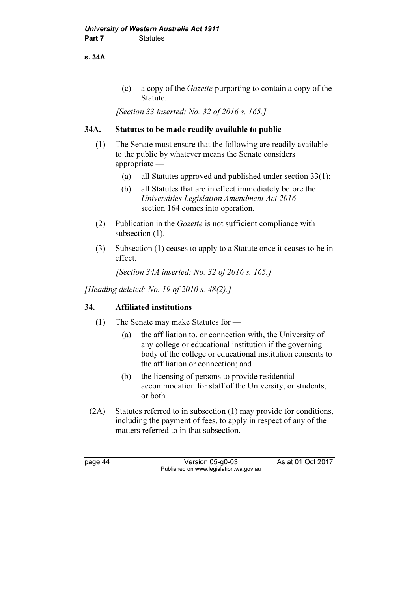s. 34A

 (c) a copy of the Gazette purporting to contain a copy of the Statute.

[Section 33 inserted: No. 32 of 2016 s. 165.]

### 34A. Statutes to be made readily available to public

- (1) The Senate must ensure that the following are readily available to the public by whatever means the Senate considers appropriate —
	- (a) all Statutes approved and published under section 33(1);
	- (b) all Statutes that are in effect immediately before the Universities Legislation Amendment Act 2016 section 164 comes into operation.
- (2) Publication in the Gazette is not sufficient compliance with subsection  $(1)$ .
- (3) Subsection (1) ceases to apply to a Statute once it ceases to be in effect.

[Section 34A inserted: No. 32 of 2016 s. 165.]

[Heading deleted: No. 19 of 2010 s. 48(2).]

### 34. Affiliated institutions

- (1) The Senate may make Statutes for
	- (a) the affiliation to, or connection with, the University of any college or educational institution if the governing body of the college or educational institution consents to the affiliation or connection; and
	- (b) the licensing of persons to provide residential accommodation for staff of the University, or students, or both.
- (2A) Statutes referred to in subsection (1) may provide for conditions, including the payment of fees, to apply in respect of any of the matters referred to in that subsection.

page 44 Version 05-g0-03 As at 01 Oct 2017 Published on www.legislation.wa.gov.au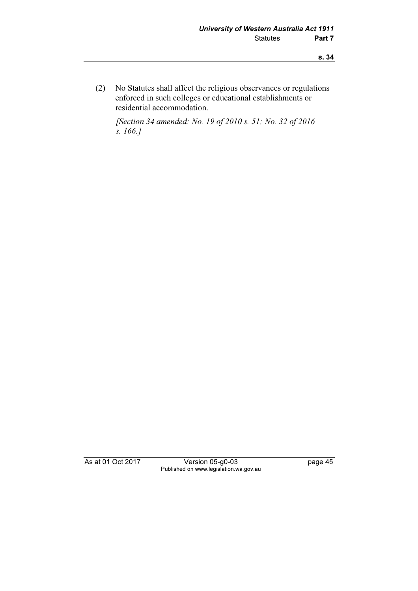(2) No Statutes shall affect the religious observances or regulations enforced in such colleges or educational establishments or residential accommodation.

 [Section 34 amended: No. 19 of 2010 s. 51; No. 32 of 2016 s. 166.]

As at 01 Oct 2017 Version 05-g0-03 page 45 Published on www.legislation.wa.gov.au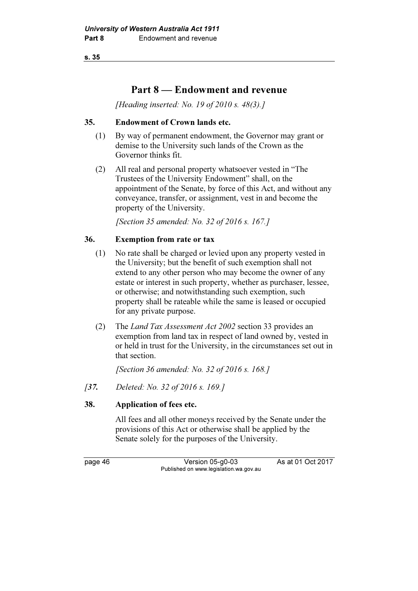## Part 8 — Endowment and revenue

[Heading inserted: No. 19 of 2010 s. 48(3).]

### 35. Endowment of Crown lands etc.

- (1) By way of permanent endowment, the Governor may grant or demise to the University such lands of the Crown as the Governor thinks fit.
- (2) All real and personal property whatsoever vested in "The Trustees of the University Endowment" shall, on the appointment of the Senate, by force of this Act, and without any conveyance, transfer, or assignment, vest in and become the property of the University.

[Section 35 amended: No. 32 of 2016 s. 167.]

### 36. Exemption from rate or tax

- (1) No rate shall be charged or levied upon any property vested in the University; but the benefit of such exemption shall not extend to any other person who may become the owner of any estate or interest in such property, whether as purchaser, lessee, or otherwise; and notwithstanding such exemption, such property shall be rateable while the same is leased or occupied for any private purpose.
- (2) The Land Tax Assessment Act 2002 section 33 provides an exemption from land tax in respect of land owned by, vested in or held in trust for the University, in the circumstances set out in that section.

[Section 36 amended: No. 32 of 2016 s. 168.]

[37. Deleted: No. 32 of 2016 s. 169.]

### 38. Application of fees etc.

 All fees and all other moneys received by the Senate under the provisions of this Act or otherwise shall be applied by the Senate solely for the purposes of the University.

page 46 Version 05-g0-03 As at 01 Oct 2017 Published on www.legislation.wa.gov.au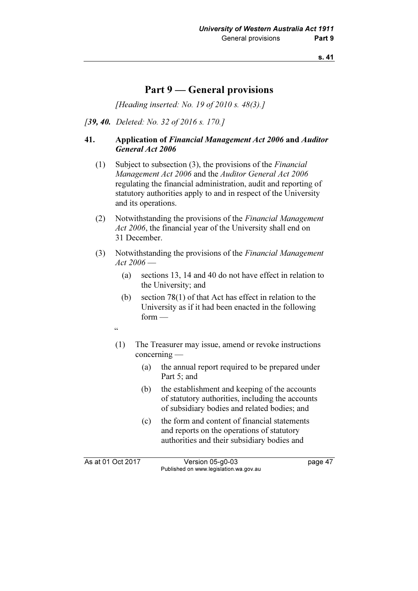## Part 9 — General provisions

[Heading inserted: No. 19 of 2010 s. 48(3).]

[39, 40. Deleted: No. 32 of 2016 s. 170.]

### 41. Application of Financial Management Act 2006 and Auditor General Act 2006

- (1) Subject to subsection  $(3)$ , the provisions of the *Financial* Management Act 2006 and the Auditor General Act 2006 regulating the financial administration, audit and reporting of statutory authorities apply to and in respect of the University and its operations.
- (2) Notwithstanding the provisions of the Financial Management Act 2006, the financial year of the University shall end on 31 December.
- (3) Notwithstanding the provisions of the Financial Management Act 2006 —
	- (a) sections 13, 14 and 40 do not have effect in relation to the University; and
	- (b) section 78(1) of that Act has effect in relation to the University as if it had been enacted in the following form —
	- $\zeta \zeta$
	- (1) The Treasurer may issue, amend or revoke instructions concerning —
		- (a) the annual report required to be prepared under Part 5; and
		- (b) the establishment and keeping of the accounts of statutory authorities, including the accounts of subsidiary bodies and related bodies; and
		- (c) the form and content of financial statements and reports on the operations of statutory authorities and their subsidiary bodies and

As at 01 Oct 2017 Version 05-g0-03 page 47 Published on www.legislation.wa.gov.au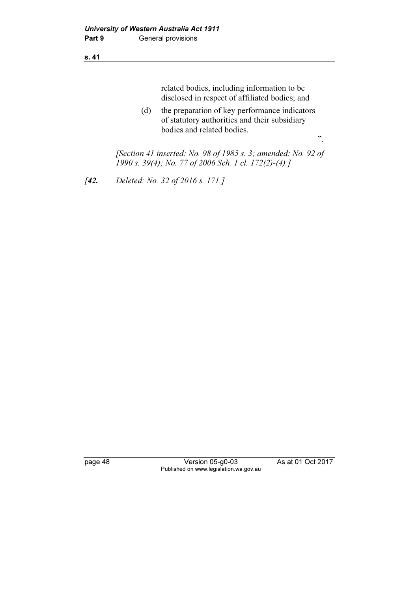related bodies, including information to be disclosed in respect of affiliated bodies; and

 (d) the preparation of key performance indicators of statutory authorities and their subsidiary bodies and related bodies. ".

 [Section 41 inserted: No. 98 of 1985 s. 3; amended: No. 92 of 1990 s. 39(4); No. 77 of 2006 Sch. 1 cl. 172(2)-(4).]

[42. Deleted: No. 32 of 2016 s. 171.]

page 48 Version 05-g0-03 As at 01 Oct 2017 Published on www.legislation.wa.gov.au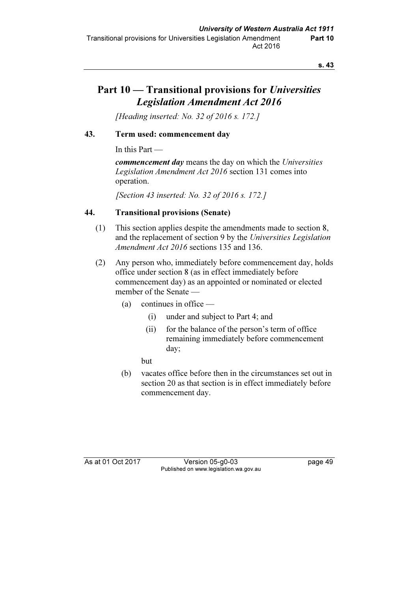# Part 10 — Transitional provisions for Universities Legislation Amendment Act 2016

[Heading inserted: No. 32 of 2016 s. 172.]

### 43. Term used: commencement day

In this Part —

commencement day means the day on which the Universities Legislation Amendment Act 2016 section 131 comes into operation.

[Section 43 inserted: No. 32 of 2016 s. 172.]

### 44. Transitional provisions (Senate)

- (1) This section applies despite the amendments made to section 8, and the replacement of section 9 by the Universities Legislation Amendment Act 2016 sections 135 and 136.
- (2) Any person who, immediately before commencement day, holds office under section 8 (as in effect immediately before commencement day) as an appointed or nominated or elected member of the Senate —
	- (a) continues in office
		- (i) under and subject to Part 4; and
		- (ii) for the balance of the person's term of office remaining immediately before commencement day;

but

 (b) vacates office before then in the circumstances set out in section 20 as that section is in effect immediately before commencement day.

As at 01 Oct 2017 Version 05-g0-03 page 49 Published on www.legislation.wa.gov.au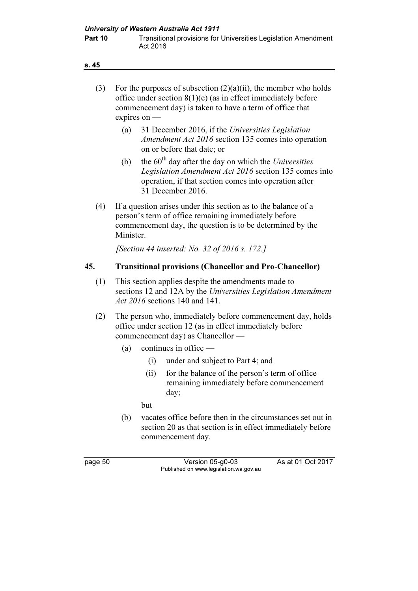| (3)     | For the purposes of subsection $(2)(a)(ii)$ , the member who holds<br>office under section $8(1)(e)$ (as in effect immediately before<br>commencement day) is taken to have a term of office that<br>expires on - |      |                                                                                                                                                                                               |  |  |  |
|---------|-------------------------------------------------------------------------------------------------------------------------------------------------------------------------------------------------------------------|------|-----------------------------------------------------------------------------------------------------------------------------------------------------------------------------------------------|--|--|--|
|         | (a)                                                                                                                                                                                                               |      | 31 December 2016, if the Universities Legislation<br>Amendment Act 2016 section 135 comes into operation<br>on or before that date; or                                                        |  |  |  |
|         | (b)                                                                                                                                                                                                               |      | the $60th$ day after the day on which the Universities<br>Legislation Amendment Act 2016 section 135 comes into<br>operation, if that section comes into operation after<br>31 December 2016. |  |  |  |
| (4)     | Minister.                                                                                                                                                                                                         |      | If a question arises under this section as to the balance of a<br>person's term of office remaining immediately before<br>commencement day, the question is to be determined by the           |  |  |  |
|         |                                                                                                                                                                                                                   |      | [Section 44 inserted: No. 32 of 2016 s. 172.]                                                                                                                                                 |  |  |  |
| 45.     |                                                                                                                                                                                                                   |      | <b>Transitional provisions (Chancellor and Pro-Chancellor)</b>                                                                                                                                |  |  |  |
| (1)     | This section applies despite the amendments made to<br>sections 12 and 12A by the Universities Legislation Amendment<br><i>Act 2016</i> sections 140 and 141.                                                     |      |                                                                                                                                                                                               |  |  |  |
| (2)     |                                                                                                                                                                                                                   |      | The person who, immediately before commencement day, holds<br>office under section 12 (as in effect immediately before<br>commencement day) as Chancellor —                                   |  |  |  |
|         | (a)                                                                                                                                                                                                               |      | continues in office $-$                                                                                                                                                                       |  |  |  |
|         |                                                                                                                                                                                                                   |      | (i) under and subject to Part 4; and                                                                                                                                                          |  |  |  |
|         |                                                                                                                                                                                                                   | (ii) | for the balance of the person's term of office<br>remaining immediately before commencement<br>day;                                                                                           |  |  |  |
|         |                                                                                                                                                                                                                   | but  |                                                                                                                                                                                               |  |  |  |
|         | (b)                                                                                                                                                                                                               |      | vacates office before then in the circumstances set out in<br>section 20 as that section is in effect immediately before<br>commencement day.                                                 |  |  |  |
| page 50 |                                                                                                                                                                                                                   |      | As at 01 Oct 2017<br>Version 05-g0-03<br>Published on www.legislation.wa.gov.au                                                                                                               |  |  |  |
|         |                                                                                                                                                                                                                   |      |                                                                                                                                                                                               |  |  |  |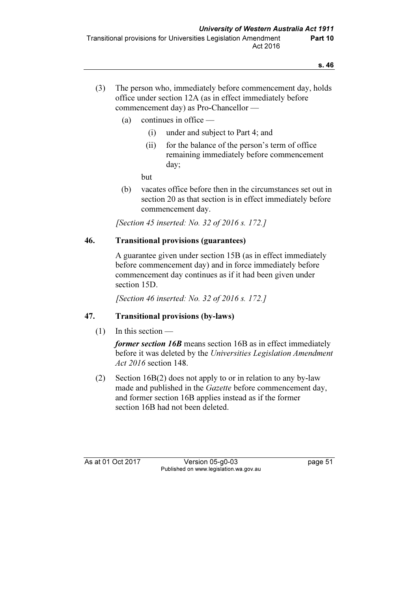- (3) The person who, immediately before commencement day, holds office under section 12A (as in effect immediately before commencement day) as Pro-Chancellor —
	- (a) continues in office
		- (i) under and subject to Part 4; and
		- (ii) for the balance of the person's term of office remaining immediately before commencement day;

but

 (b) vacates office before then in the circumstances set out in section 20 as that section is in effect immediately before commencement day.

[Section 45 inserted: No. 32 of 2016 s. 172.]

### 46. Transitional provisions (guarantees)

 A guarantee given under section 15B (as in effect immediately before commencement day) and in force immediately before commencement day continues as if it had been given under section 15D.

[Section 46 inserted: No. 32 of 2016 s. 172.]

### 47. Transitional provisions (by-laws)

(1) In this section —

former section 16B means section 16B as in effect immediately before it was deleted by the Universities Legislation Amendment Act 2016 section 148.

 (2) Section 16B(2) does not apply to or in relation to any by-law made and published in the *Gazette* before commencement day, and former section 16B applies instead as if the former section 16B had not been deleted.

As at 01 Oct 2017 Version 05-g0-03 page 51 Published on www.legislation.wa.gov.au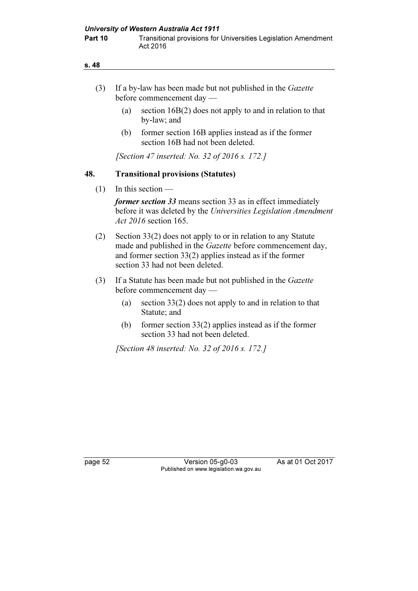- (3) If a by-law has been made but not published in the Gazette before commencement day —
	- (a) section 16B(2) does not apply to and in relation to that by-law; and
	- (b) former section 16B applies instead as if the former section 16B had not been deleted.

[Section 47 inserted: No. 32 of 2016 s. 172.]

### 48. Transitional provisions (Statutes)

 $(1)$  In this section —

former section 33 means section 33 as in effect immediately before it was deleted by the Universities Legislation Amendment Act 2016 section 165.

- (2) Section 33(2) does not apply to or in relation to any Statute made and published in the Gazette before commencement day, and former section 33(2) applies instead as if the former section 33 had not been deleted.
- (3) If a Statute has been made but not published in the Gazette before commencement day —
	- (a) section 33(2) does not apply to and in relation to that Statute; and
	- (b) former section 33(2) applies instead as if the former section 33 had not been deleted.

[Section 48 inserted: No. 32 of 2016 s. 172.]

page 52 Version 05-g0-03 As at 01 Oct 2017 Published on www.legislation.wa.gov.au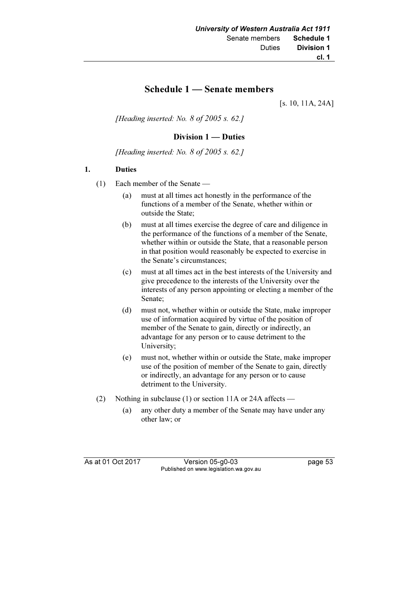### Schedule 1 — Senate members

[s. 10, 11A, 24A]

[Heading inserted: No.  $8$  of 2005 s. 62.]

#### Division 1 — Duties

[Heading inserted: No.  $8$  of 2005 s. 62.]

#### 1. Duties

- (1) Each member of the Senate
	- (a) must at all times act honestly in the performance of the functions of a member of the Senate, whether within or outside the State;
	- (b) must at all times exercise the degree of care and diligence in the performance of the functions of a member of the Senate, whether within or outside the State, that a reasonable person in that position would reasonably be expected to exercise in the Senate's circumstances;
	- (c) must at all times act in the best interests of the University and give precedence to the interests of the University over the interests of any person appointing or electing a member of the Senate;
	- (d) must not, whether within or outside the State, make improper use of information acquired by virtue of the position of member of the Senate to gain, directly or indirectly, an advantage for any person or to cause detriment to the University;
	- (e) must not, whether within or outside the State, make improper use of the position of member of the Senate to gain, directly or indirectly, an advantage for any person or to cause detriment to the University.
- (2) Nothing in subclause (1) or section 11A or 24A affects
	- (a) any other duty a member of the Senate may have under any other law; or

As at 01 Oct 2017 Version 05-g0-03 page 53 Published on www.legislation.wa.gov.au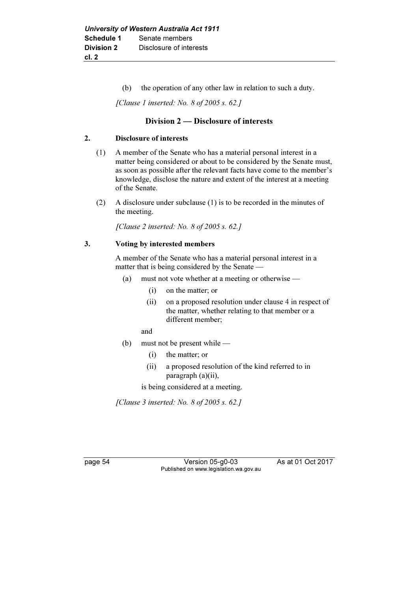(b) the operation of any other law in relation to such a duty.

[Clause 1 inserted: No. 8 of 2005 s. 62.]

#### Division 2 — Disclosure of interests

#### 2. Disclosure of interests

- (1) A member of the Senate who has a material personal interest in a matter being considered or about to be considered by the Senate must, as soon as possible after the relevant facts have come to the member's knowledge, disclose the nature and extent of the interest at a meeting of the Senate.
- (2) A disclosure under subclause (1) is to be recorded in the minutes of the meeting.

[Clause 2 inserted: No. 8 of 2005 s. 62.]

#### 3. Voting by interested members

 A member of the Senate who has a material personal interest in a matter that is being considered by the Senate —

- (a) must not vote whether at a meeting or otherwise
	- (i) on the matter; or
	- (ii) on a proposed resolution under clause 4 in respect of the matter, whether relating to that member or a different member;

and

- (b) must not be present while
	- (i) the matter; or
	- (ii) a proposed resolution of the kind referred to in paragraph (a)(ii),

is being considered at a meeting.

[Clause 3 inserted: No.  $8$  of 2005 s. 62.]

page 54 Version 05-g0-03 As at 01 Oct 2017 Published on www.legislation.wa.gov.au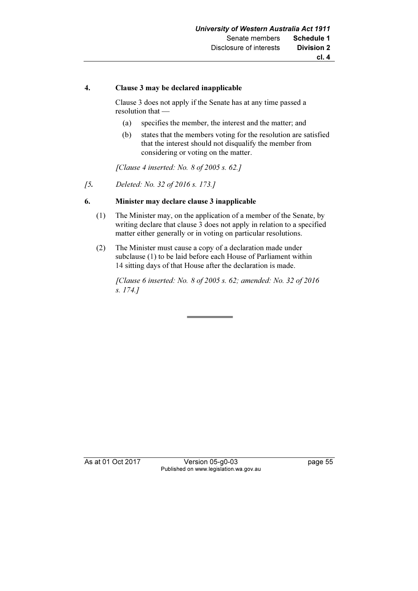#### 4. Clause 3 may be declared inapplicable

 Clause 3 does not apply if the Senate has at any time passed a resolution that —

- (a) specifies the member, the interest and the matter; and
- (b) states that the members voting for the resolution are satisfied that the interest should not disqualify the member from considering or voting on the matter.

[Clause 4 inserted: No. 8 of 2005 s. 62.]

[5. Deleted: No. 32 of 2016 s. 173.]

#### 6. Minister may declare clause 3 inapplicable

- (1) The Minister may, on the application of a member of the Senate, by writing declare that clause 3 does not apply in relation to a specified matter either generally or in voting on particular resolutions.
- (2) The Minister must cause a copy of a declaration made under subclause (1) to be laid before each House of Parliament within 14 sitting days of that House after the declaration is made.

 [Clause 6 inserted: No. 8 of 2005 s. 62; amended: No. 32 of 2016 s. 174.]

As at 01 Oct 2017 Version 05-g0-03 page 55 Published on www.legislation.wa.gov.au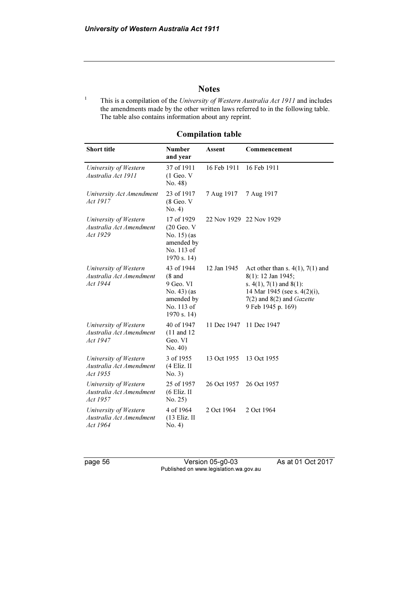#### **Notes**

1 This is a compilation of the University of Western Australia Act 1911 and includes the amendments made by the other written laws referred to in the following table. The table also contains information about any reprint.

| <b>Short title</b>                                           | <b>Number</b><br>and year                                                                                | Assent      | Commencement                                                                                                                                                                          |
|--------------------------------------------------------------|----------------------------------------------------------------------------------------------------------|-------------|---------------------------------------------------------------------------------------------------------------------------------------------------------------------------------------|
| University of Western<br>Australia Act 1911                  | 37 of 1911<br>$(1$ Geo. $V$<br>No. 48)                                                                   | 16 Feb 1911 | 16 Feb 1911                                                                                                                                                                           |
| University Act Amendment<br>Act 1917                         | 23 of 1917<br>$(8$ Geo. V<br>No. 4)                                                                      | 7 Aug 1917  | 7 Aug 1917                                                                                                                                                                            |
| University of Western<br>Australia Act Amendment<br>Act 1929 | 17 of 1929<br>$(20$ Geo. V<br>No. 15) (as<br>amended by<br>No. 113 of<br>1970 s. 14)                     |             | 22 Nov 1929 22 Nov 1929                                                                                                                                                               |
| University of Western<br>Australia Act Amendment<br>Act 1944 | 43 of 1944<br>$(8 \text{ and }$<br>9 Geo. VI<br>$No. 43)$ (as<br>amended by<br>No. 113 of<br>1970 s. 14) | 12 Jan 1945 | Act other than s. $4(1)$ , $7(1)$ and<br>8(1): 12 Jan 1945;<br>s. $4(1)$ , $7(1)$ and $8(1)$ :<br>14 Mar 1945 (see s. 4(2)(i),<br>$7(2)$ and $8(2)$ and Gazette<br>9 Feb 1945 p. 169) |
| University of Western<br>Australia Act Amendment<br>Act 1947 | 40 of 1947<br>$(11$ and $12$<br>Geo. VI<br>No. 40)                                                       | 11 Dec 1947 | 11 Dec 1947                                                                                                                                                                           |
| University of Western<br>Australia Act Amendment<br>Act 1955 | 3 of 1955<br>$(4$ Eliz. II<br>No. 3)                                                                     | 13 Oct 1955 | 13 Oct 1955                                                                                                                                                                           |
| University of Western<br>Australia Act Amendment<br>Act 1957 | 25 of 1957<br>(6 Eliz. II<br>No. 25)                                                                     | 26 Oct 1957 | 26 Oct 1957                                                                                                                                                                           |
| University of Western<br>Australia Act Amendment<br>Act 1964 | 4 of 1964<br>(13 Eliz. II<br>No. 4)                                                                      | 2 Oct 1964  | 2 Oct 1964                                                                                                                                                                            |

Compilation table

page 56 Version 05-g0-03 As at 01 Oct 2017 Published on www.legislation.wa.gov.au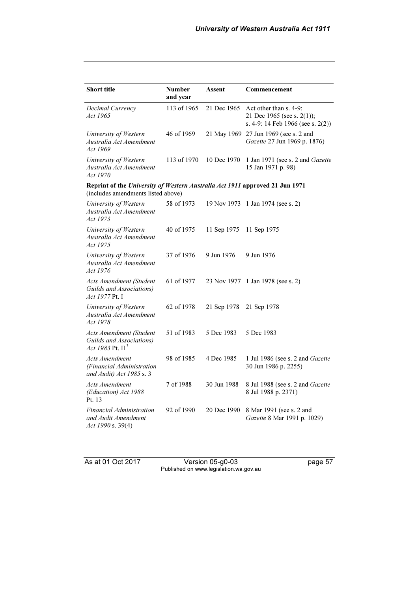| <b>Short title</b>                                                                                                 | <b>Number</b><br>and year | Assent      | Commencement                                                                              |
|--------------------------------------------------------------------------------------------------------------------|---------------------------|-------------|-------------------------------------------------------------------------------------------|
| Decimal Currency<br>Act 1965                                                                                       | 113 of 1965               | 21 Dec 1965 | Act other than s. 4-9:<br>21 Dec 1965 (see s. 2(1));<br>s. 4-9: 14 Feb 1966 (see s. 2(2)) |
| University of Western<br>Australia Act Amendment<br>Act 1969                                                       | 46 of 1969                |             | 21 May 1969 27 Jun 1969 (see s. 2 and<br>Gazette 27 Jun 1969 p. 1876)                     |
| University of Western<br>Australia Act Amendment<br>Act 1970                                                       | 113 of 1970               | 10 Dec 1970 | 1 Jan 1971 (see s. 2 and Gazette<br>15 Jan 1971 p. 98)                                    |
| Reprint of the University of Western Australia Act 1911 approved 21 Jun 1971<br>(includes amendments listed above) |                           |             |                                                                                           |
| University of Western<br>Australia Act Amendment<br>Act 1973                                                       | 58 of 1973                | 19 Nov 1973 | 1 Jan 1974 (see s. 2)                                                                     |
| University of Western<br>Australia Act Amendment<br>Act 1975                                                       | 40 of 1975                | 11 Sep 1975 | 11 Sep 1975                                                                               |
| University of Western<br>Australia Act Amendment<br>Act 1976                                                       | 37 of 1976                | 9 Jun 1976  | 9 Jun 1976                                                                                |
| <b>Acts Amendment (Student</b><br>Guilds and Associations)<br>Act 1977 Pt. I                                       | 61 of 1977                | 23 Nov 1977 | 1 Jan 1978 (see s. 2)                                                                     |
| University of Western<br>Australia Act Amendment<br>Act 1978                                                       | 62 of 1978                | 21 Sep 1978 | 21 Sep 1978                                                                               |
| Acts Amendment (Student<br>Guilds and Associations)<br>Act 1983 Pt. $II3$                                          | 51 of 1983                | 5 Dec 1983  | 5 Dec 1983                                                                                |
| <b>Acts Amendment</b><br>(Financial Administration<br>and Audit) Act 1985 s. 3                                     | 98 of 1985                | 4 Dec 1985  | 1 Jul 1986 (see s. 2 and Gazette<br>30 Jun 1986 p. 2255)                                  |
| <b>Acts Amendment</b><br>(Education) Act 1988<br>Pt. 13                                                            | 7 of 1988                 | 30 Jun 1988 | 8 Jul 1988 (see s. 2 and Gazette<br>8 Jul 1988 p. 2371)                                   |
| Financial Administration<br>and Audit Amendment<br>Act 1990 s. 39(4)                                               | 92 of 1990                | 20 Dec 1990 | 8 Mar 1991 (see s. 2 and<br>Gazette 8 Mar 1991 p. 1029)                                   |

As at 01 Oct 2017 Version 05-g0-03 page 57 Published on www.legislation.wa.gov.au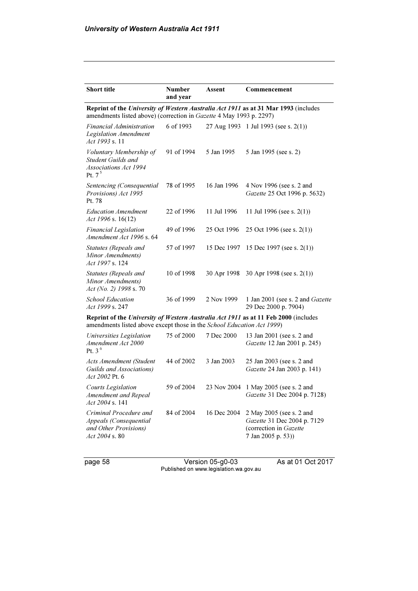| <b>Short title</b>                                                                                                                                            | <b>Number</b> | Assent      | Commencement                                                                                            |  |  |
|---------------------------------------------------------------------------------------------------------------------------------------------------------------|---------------|-------------|---------------------------------------------------------------------------------------------------------|--|--|
|                                                                                                                                                               | and year      |             |                                                                                                         |  |  |
| Reprint of the University of Western Australia Act 1911 as at 31 Mar 1993 (includes<br>amendments listed above) (correction in Gazette 4 May 1993 p. 2297)    |               |             |                                                                                                         |  |  |
| Financial Administration<br>Legislation Amendment<br>Act 1993 s. 11                                                                                           | 6 of 1993     |             | 27 Aug 1993 1 Jul 1993 (see s. 2(1))                                                                    |  |  |
| Voluntary Membership of<br>Student Guilds and<br><b>Associations Act 1994</b><br>Pt. $75$                                                                     | 91 of 1994    | 5 Jan 1995  | 5 Jan 1995 (see s. 2)                                                                                   |  |  |
| Sentencing (Consequential<br>Provisions) Act 1995<br>Pt. 78                                                                                                   | 78 of 1995    | 16 Jan 1996 | 4 Nov 1996 (see s. 2 and<br>Gazette 25 Oct 1996 p. 5632)                                                |  |  |
| <b>Education Amendment</b><br>Act 1996 s. 16(12)                                                                                                              | 22 of 1996    | 11 Jul 1996 | 11 Jul 1996 (see s. $2(1)$ )                                                                            |  |  |
| <b>Financial Legislation</b><br>Amendment Act 1996 s. 64                                                                                                      | 49 of 1996    | 25 Oct 1996 | 25 Oct 1996 (see s. $2(1)$ )                                                                            |  |  |
| Statutes (Repeals and<br>Minor Amendments)<br>Act 1997 s. 124                                                                                                 | 57 of 1997    | 15 Dec 1997 | 15 Dec 1997 (see s. 2(1))                                                                               |  |  |
| Statutes (Repeals and<br>Minor Amendments)<br>Act (No. 2) 1998 s.70                                                                                           | 10 of 1998    | 30 Apr 1998 | 30 Apr 1998 (see s. $2(1)$ )                                                                            |  |  |
| <b>School Education</b><br>Act 1999 s. 247                                                                                                                    | 36 of 1999    | 2 Nov 1999  | 1 Jan 2001 (see s. 2 and Gazette<br>29 Dec 2000 p. 7904)                                                |  |  |
| Reprint of the University of Western Australia Act 1911 as at 11 Feb 2000 (includes<br>amendments listed above except those in the School Education Act 1999) |               |             |                                                                                                         |  |  |
| Universities Legislation<br>Amendment Act 2000<br>Pt. 3 $6$                                                                                                   | 75 of 2000    | 7 Dec 2000  | 13 Jan 2001 (see s. 2 and<br>Gazette 12 Jan 2001 p. 245)                                                |  |  |
| Acts Amendment (Student<br>Guilds and Associations)<br>Act 2002 Pt. 6                                                                                         | 44 of 2002    | 3 Jan 2003  | 25 Jan 2003 (see s. 2 and<br>Gazette 24 Jan 2003 p. 141)                                                |  |  |
| <b>Courts Legislation</b><br>Amendment and Repeal<br>Act 2004 s. 141                                                                                          | 59 of 2004    | 23 Nov 2004 | 1 May 2005 (see s. 2 and<br>Gazette 31 Dec 2004 p. 7128)                                                |  |  |
| Criminal Procedure and<br>Appeals (Consequential<br>and Other Provisions)<br>$Act\,2004\,$ s. 80                                                              | 84 of 2004    | 16 Dec 2004 | 2 May 2005 (see s. 2 and<br>Gazette 31 Dec 2004 p. 7129<br>(correction in Gazette<br>7 Jan 2005 p. 53)) |  |  |

page 58 Version 05-g0-03 As at 01 Oct 2017 Published on www.legislation.wa.gov.au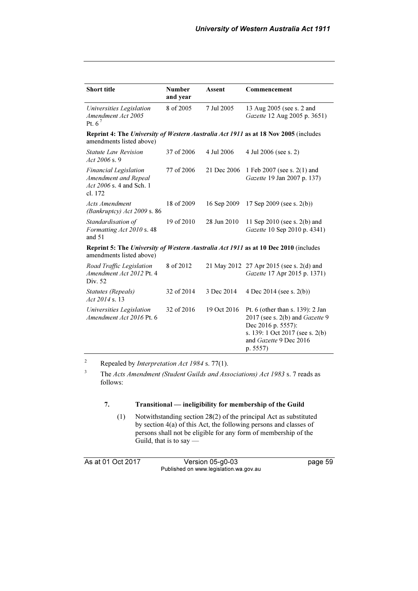| <b>Short title</b>                                                                                                     | <b>Number</b><br>and year | <b>Assent</b> | Commencement                                                                                                                                                       |
|------------------------------------------------------------------------------------------------------------------------|---------------------------|---------------|--------------------------------------------------------------------------------------------------------------------------------------------------------------------|
| Universities Legislation<br>Amendment Act 2005<br>Pt. $6^7$                                                            | 8 of 2005                 | 7 Jul 2005    | 13 Aug 2005 (see s. 2 and<br>Gazette 12 Aug 2005 p. 3651)                                                                                                          |
| amendments listed above)                                                                                               |                           |               | <b>Reprint 4: The University of Western Australia Act 1911 as at 18 Nov 2005 (includes</b>                                                                         |
| <b>Statute Law Revision</b><br>Act 2006 s.9                                                                            | 37 of 2006                | 4 Jul 2006    | 4 Jul 2006 (see s. 2)                                                                                                                                              |
| <b>Financial Legislation</b><br>Amendment and Repeal<br>Act 2006 s. 4 and Sch. 1<br>cl. 172                            | 77 of 2006                | 21 Dec 2006   | 1 Feb 2007 (see s. 2(1) and<br>Gazette 19 Jan 2007 p. 137)                                                                                                         |
| <b>Acts Amendment</b><br>(Bankruptcy) Act 2009 s. 86                                                                   | 18 of 2009                | 16 Sep 2009   | 17 Sep 2009 (see s. $2(b)$ )                                                                                                                                       |
| Standardisation of<br>Formatting Act 2010 s. 48<br>and $51$                                                            | 19 of 2010                | 28 Jun 2010   | 11 Sep 2010 (see s. $2(b)$ ) and<br>Gazette 10 Sep 2010 p. 4341)                                                                                                   |
| <b>Reprint 5: The University of Western Australia Act 1911 as at 10 Dec 2010</b> (includes<br>amendments listed above) |                           |               |                                                                                                                                                                    |
| Road Traffic Legislation<br>Amendment Act 2012 Pt. 4<br>Div. 52                                                        | 8 of 2012                 |               | 21 May 2012 27 Apr 2015 (see s. 2(d) and<br>Gazette 17 Apr 2015 p. 1371)                                                                                           |
| <b>Statutes</b> (Repeals)<br>Act 2014 s. 13                                                                            | 32 of 2014                | 3 Dec 2014    | 4 Dec 2014 (see s. $2(b)$ )                                                                                                                                        |
| Universities Legislation<br>Amendment Act 2016 Pt. 6                                                                   | 32 of 2016                | 19 Oct 2016   | Pt. 6 (other than s. 139): 2 Jan<br>2017 (see s. 2(b) and Gazette 9<br>Dec 2016 p. 5557):<br>s. 139: 1 Oct 2017 (see s. 2(b)<br>and Gazette 9 Dec 2016<br>p. 5557) |

2 Repealed by Interpretation Act 1984 s. 77(1).

3 The Acts Amendment (Student Guilds and Associations) Act 1983 s. 7 reads as follows:

#### 7. Transitional — ineligibility for membership of the Guild

 (1) Notwithstanding section 28(2) of the principal Act as substituted by section 4(a) of this Act, the following persons and classes of persons shall not be eligible for any form of membership of the Guild, that is to say —

As at 01 Oct 2017 Version 05-g0-03 page 59 Published on www.legislation.wa.gov.au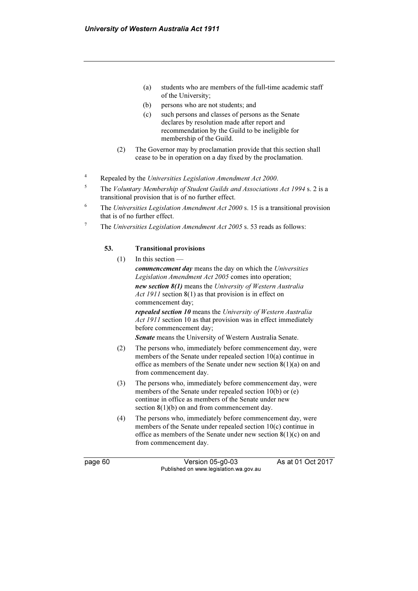- (a) students who are members of the full-time academic staff of the University;
- (b) persons who are not students; and
- (c) such persons and classes of persons as the Senate declares by resolution made after report and recommendation by the Guild to be ineligible for membership of the Guild.
- (2) The Governor may by proclamation provide that this section shall cease to be in operation on a day fixed by the proclamation.
- 4 Repealed by the Universities Legislation Amendment Act 2000.
- 5 The Voluntary Membership of Student Guilds and Associations Act 1994 s. 2 is a transitional provision that is of no further effect.
- 6 The Universities Legislation Amendment Act 2000 s. 15 is a transitional provision that is of no further effect.
- 7 The Universities Legislation Amendment Act 2005 s. 53 reads as follows:

#### 53. Transitional provisions

(1) In this section —

commencement day means the day on which the Universities Legislation Amendment Act 2005 comes into operation; new section 8(1) means the University of Western Australia Act 1911 section 8(1) as that provision is in effect on commencement day;

repealed section 10 means the University of Western Australia Act 1911 section 10 as that provision was in effect immediately before commencement day;

Senate means the University of Western Australia Senate.

- (2) The persons who, immediately before commencement day, were members of the Senate under repealed section 10(a) continue in office as members of the Senate under new section  $8(1)(a)$  on and from commencement day.
- (3) The persons who, immediately before commencement day, were members of the Senate under repealed section 10(b) or (e) continue in office as members of the Senate under new section  $8(1)(b)$  on and from commencement day.
- (4) The persons who, immediately before commencement day, were members of the Senate under repealed section 10(c) continue in office as members of the Senate under new section 8(1)(c) on and from commencement day.

page 60 Version 05-g0-03 As at 01 Oct 2017 Published on www.legislation.wa.gov.au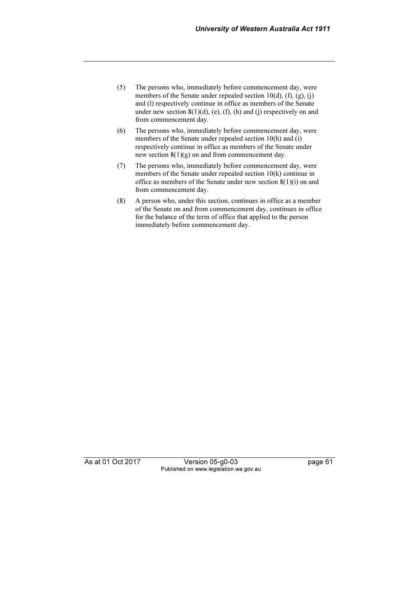- (5) The persons who, immediately before commencement day, were members of the Senate under repealed section  $10(d)$ ,  $(f)$ ,  $(g)$ ,  $(i)$ and (l) respectively continue in office as members of the Senate under new section  $8(1)(d)$ , (e), (f), (h) and (j) respectively on and from commencement day.
- (6) The persons who, immediately before commencement day, were members of the Senate under repealed section 10(h) and (i) respectively continue in office as members of the Senate under new section  $8(1)(g)$  on and from commencement day.
- (7) The persons who, immediately before commencement day, were members of the Senate under repealed section 10(k) continue in office as members of the Senate under new section 8(1)(i) on and from commencement day.
- (8) A person who, under this section, continues in office as a member of the Senate on and from commencement day, continues in office for the balance of the term of office that applied to the person immediately before commencement day.

As at 01 Oct 2017 Version 05-g0-03 page 61 Published on www.legislation.wa.gov.au